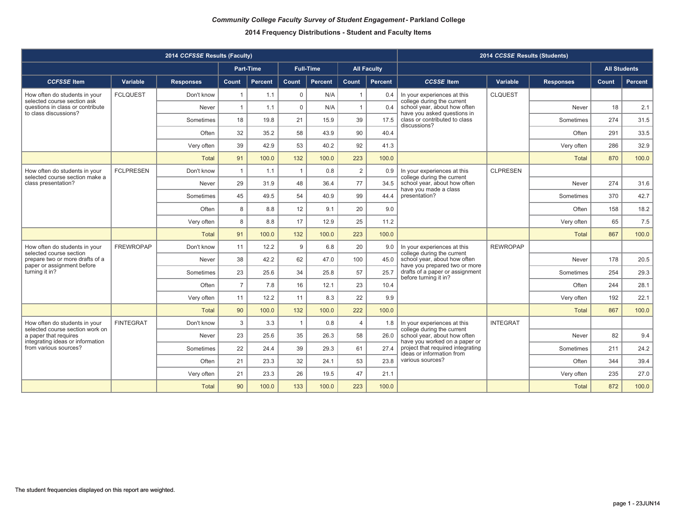|                                                                                              |                  | 2014 CCFSSE Results (Faculty) |                |                                                                                                                                                                                                                                                                                                                                                                                                                                                                                                                                                                                                                                                                                                                                                                                                                                                                                                                                                                                                                                                                                                                                                                                                                                                                                                                                                                                                                                                                                                                                                                                                                                                                                                                                                                                                                                                                                                                                                                                                                                                                                                                                                                                                                                                                                                                                                                                                                                       |     |       |     |       |  |              |     |       |
|----------------------------------------------------------------------------------------------|------------------|-------------------------------|----------------|---------------------------------------------------------------------------------------------------------------------------------------------------------------------------------------------------------------------------------------------------------------------------------------------------------------------------------------------------------------------------------------------------------------------------------------------------------------------------------------------------------------------------------------------------------------------------------------------------------------------------------------------------------------------------------------------------------------------------------------------------------------------------------------------------------------------------------------------------------------------------------------------------------------------------------------------------------------------------------------------------------------------------------------------------------------------------------------------------------------------------------------------------------------------------------------------------------------------------------------------------------------------------------------------------------------------------------------------------------------------------------------------------------------------------------------------------------------------------------------------------------------------------------------------------------------------------------------------------------------------------------------------------------------------------------------------------------------------------------------------------------------------------------------------------------------------------------------------------------------------------------------------------------------------------------------------------------------------------------------------------------------------------------------------------------------------------------------------------------------------------------------------------------------------------------------------------------------------------------------------------------------------------------------------------------------------------------------------------------------------------------------------------------------------------------------|-----|-------|-----|-------|--|--------------|-----|-------|
|                                                                                              |                  |                               |                | 2014 CCSSE Results (Students)<br>Part-Time<br><b>Full-Time</b><br><b>All Students</b><br><b>All Faculty</b><br><b>CCSSE</b> Item<br>Percent<br>Count<br><b>Percent</b><br>Count<br>Percent<br>Variable<br>Percent<br><b>Responses</b><br>Count<br>$\mathbf 0$<br>1.1<br>N/A<br><b>CLQUEST</b><br>0.4<br>In your experiences at this<br>college during the current<br>$\mathbf 0$<br>school year, about how often<br>18<br>1.1<br>N/A<br>$\overline{1}$<br>2.1<br>0.4<br>Never<br>have you asked questions in<br>class or contributed to class<br>21<br>39<br>274<br>31.5<br>19.8<br>15.9<br>17.5<br>Sometimes<br>discussions?<br>90<br>291<br>33.5<br>58<br>35.2<br>43.9<br>40.4<br>Often<br>92<br>32.9<br>53<br>286<br>42.9<br>40.2<br>41.3<br>Very often<br>223<br>100.0<br>132<br>100.0<br>100.0<br>870<br>100.0<br><b>Total</b><br>2<br>$\mathbf{1}$<br><b>CLPRESEN</b><br>1.1<br>0.8<br>0.9<br>In your experiences at this<br>college during the current<br>77<br>274<br>48<br>school year, about how often<br>31.6<br>31.9<br>36.4<br>34.5<br>Never<br>have you made a class<br>presentation?<br>42.7<br>54<br>99<br>370<br>49.5<br>40.9<br>44.4<br>Sometimes<br>20<br>18.2<br>8.8<br>12<br>9.1<br>9.0<br>Often<br>158<br>17<br>25<br>65<br>7.5<br>8.8<br>12.9<br>11.2<br>Very often<br>223<br>867<br>100.0<br>132<br>100.0<br>100.0<br>100.0<br><b>Total</b><br>9<br>20<br><b>REWROPAP</b><br>12.2<br>6.8<br>9.0<br>In your experiences at this<br>college during the current<br>178<br>42.2<br>62<br>47.0<br>100<br>school year, about how often<br>20.5<br>45.0<br>Never<br>have you prepared two or more<br>drafts of a paper or assignment<br>57<br>254<br>25.6<br>34<br>25.7<br>29.3<br>25.8<br>Sometimes<br>before turning it in?<br>23<br>244<br>7.8<br>16<br>12.1<br>10.4<br>28.1<br>Often<br>22<br>192<br>12.2<br>11<br>8.3<br>9.9<br>22.1<br>Very often<br>100.0<br>222<br>100.0<br>867<br>100.0<br>100.0<br>132<br><b>Total</b><br>3.3<br>$\overline{4}$<br><b>INTEGRAT</b><br>$\mathbf{1}$<br>0.8<br>In your experiences at this<br>1.8<br>college during the current<br>35<br>58<br>school year, about how often<br>82<br>25.6<br>26.3<br>9.4<br>26.0<br>Never<br>have you worked on a paper or<br>project that required integrating<br>39<br>61<br>211<br>24.2<br>27.4<br>24.4<br>29.3<br>Sometimes<br>ideas or information from<br>various sources?<br>23.3<br>32<br>53<br>23.8<br>344<br>39.4<br>24.1<br>Often |     |       |     |       |  |              |     |       |
| <b>CCFSSE</b> Item                                                                           | Variable         | <b>Responses</b>              | <b>Count</b>   |                                                                                                                                                                                                                                                                                                                                                                                                                                                                                                                                                                                                                                                                                                                                                                                                                                                                                                                                                                                                                                                                                                                                                                                                                                                                                                                                                                                                                                                                                                                                                                                                                                                                                                                                                                                                                                                                                                                                                                                                                                                                                                                                                                                                                                                                                                                                                                                                                                       |     |       |     |       |  |              |     |       |
| How often do students in your<br>selected course section ask                                 | <b>FCLQUEST</b>  | Don't know                    | -1             |                                                                                                                                                                                                                                                                                                                                                                                                                                                                                                                                                                                                                                                                                                                                                                                                                                                                                                                                                                                                                                                                                                                                                                                                                                                                                                                                                                                                                                                                                                                                                                                                                                                                                                                                                                                                                                                                                                                                                                                                                                                                                                                                                                                                                                                                                                                                                                                                                                       |     |       |     |       |  |              |     |       |
| questions in class or contribute<br>to class discussions?                                    |                  | Never                         | $\mathbf{1}$   |                                                                                                                                                                                                                                                                                                                                                                                                                                                                                                                                                                                                                                                                                                                                                                                                                                                                                                                                                                                                                                                                                                                                                                                                                                                                                                                                                                                                                                                                                                                                                                                                                                                                                                                                                                                                                                                                                                                                                                                                                                                                                                                                                                                                                                                                                                                                                                                                                                       |     |       |     |       |  |              |     |       |
|                                                                                              |                  | Sometimes                     | 18             |                                                                                                                                                                                                                                                                                                                                                                                                                                                                                                                                                                                                                                                                                                                                                                                                                                                                                                                                                                                                                                                                                                                                                                                                                                                                                                                                                                                                                                                                                                                                                                                                                                                                                                                                                                                                                                                                                                                                                                                                                                                                                                                                                                                                                                                                                                                                                                                                                                       |     |       |     |       |  |              |     |       |
|                                                                                              |                  | Often                         | 32             |                                                                                                                                                                                                                                                                                                                                                                                                                                                                                                                                                                                                                                                                                                                                                                                                                                                                                                                                                                                                                                                                                                                                                                                                                                                                                                                                                                                                                                                                                                                                                                                                                                                                                                                                                                                                                                                                                                                                                                                                                                                                                                                                                                                                                                                                                                                                                                                                                                       |     |       |     |       |  |              |     |       |
|                                                                                              |                  | Very often                    | 39             |                                                                                                                                                                                                                                                                                                                                                                                                                                                                                                                                                                                                                                                                                                                                                                                                                                                                                                                                                                                                                                                                                                                                                                                                                                                                                                                                                                                                                                                                                                                                                                                                                                                                                                                                                                                                                                                                                                                                                                                                                                                                                                                                                                                                                                                                                                                                                                                                                                       |     |       |     |       |  |              |     |       |
|                                                                                              |                  | <b>Total</b>                  | 91             |                                                                                                                                                                                                                                                                                                                                                                                                                                                                                                                                                                                                                                                                                                                                                                                                                                                                                                                                                                                                                                                                                                                                                                                                                                                                                                                                                                                                                                                                                                                                                                                                                                                                                                                                                                                                                                                                                                                                                                                                                                                                                                                                                                                                                                                                                                                                                                                                                                       |     |       |     |       |  |              |     |       |
| How often do students in your<br>selected course section make a                              | <b>FCLPRESEN</b> | Don't know                    | $\mathbf{1}$   |                                                                                                                                                                                                                                                                                                                                                                                                                                                                                                                                                                                                                                                                                                                                                                                                                                                                                                                                                                                                                                                                                                                                                                                                                                                                                                                                                                                                                                                                                                                                                                                                                                                                                                                                                                                                                                                                                                                                                                                                                                                                                                                                                                                                                                                                                                                                                                                                                                       |     |       |     |       |  |              |     |       |
| class presentation?                                                                          |                  | Never                         | 29             |                                                                                                                                                                                                                                                                                                                                                                                                                                                                                                                                                                                                                                                                                                                                                                                                                                                                                                                                                                                                                                                                                                                                                                                                                                                                                                                                                                                                                                                                                                                                                                                                                                                                                                                                                                                                                                                                                                                                                                                                                                                                                                                                                                                                                                                                                                                                                                                                                                       |     |       |     |       |  |              |     |       |
|                                                                                              |                  | Sometimes                     | 45             |                                                                                                                                                                                                                                                                                                                                                                                                                                                                                                                                                                                                                                                                                                                                                                                                                                                                                                                                                                                                                                                                                                                                                                                                                                                                                                                                                                                                                                                                                                                                                                                                                                                                                                                                                                                                                                                                                                                                                                                                                                                                                                                                                                                                                                                                                                                                                                                                                                       |     |       |     |       |  |              |     |       |
|                                                                                              |                  | Often                         | 8              |                                                                                                                                                                                                                                                                                                                                                                                                                                                                                                                                                                                                                                                                                                                                                                                                                                                                                                                                                                                                                                                                                                                                                                                                                                                                                                                                                                                                                                                                                                                                                                                                                                                                                                                                                                                                                                                                                                                                                                                                                                                                                                                                                                                                                                                                                                                                                                                                                                       |     |       |     |       |  |              |     |       |
|                                                                                              |                  | Very often                    | 8              |                                                                                                                                                                                                                                                                                                                                                                                                                                                                                                                                                                                                                                                                                                                                                                                                                                                                                                                                                                                                                                                                                                                                                                                                                                                                                                                                                                                                                                                                                                                                                                                                                                                                                                                                                                                                                                                                                                                                                                                                                                                                                                                                                                                                                                                                                                                                                                                                                                       |     |       |     |       |  |              |     |       |
|                                                                                              |                  | <b>Total</b>                  | 91             |                                                                                                                                                                                                                                                                                                                                                                                                                                                                                                                                                                                                                                                                                                                                                                                                                                                                                                                                                                                                                                                                                                                                                                                                                                                                                                                                                                                                                                                                                                                                                                                                                                                                                                                                                                                                                                                                                                                                                                                                                                                                                                                                                                                                                                                                                                                                                                                                                                       |     |       |     |       |  |              |     |       |
| How often do students in your<br>selected course section                                     | <b>FREWROPAP</b> | Don't know                    | 11             |                                                                                                                                                                                                                                                                                                                                                                                                                                                                                                                                                                                                                                                                                                                                                                                                                                                                                                                                                                                                                                                                                                                                                                                                                                                                                                                                                                                                                                                                                                                                                                                                                                                                                                                                                                                                                                                                                                                                                                                                                                                                                                                                                                                                                                                                                                                                                                                                                                       |     |       |     |       |  |              |     |       |
| prepare two or more drafts of a<br>paper or assignment before                                |                  | Never                         | 38             |                                                                                                                                                                                                                                                                                                                                                                                                                                                                                                                                                                                                                                                                                                                                                                                                                                                                                                                                                                                                                                                                                                                                                                                                                                                                                                                                                                                                                                                                                                                                                                                                                                                                                                                                                                                                                                                                                                                                                                                                                                                                                                                                                                                                                                                                                                                                                                                                                                       |     |       |     |       |  |              |     |       |
| turning it in?                                                                               |                  | Sometimes                     | 23             |                                                                                                                                                                                                                                                                                                                                                                                                                                                                                                                                                                                                                                                                                                                                                                                                                                                                                                                                                                                                                                                                                                                                                                                                                                                                                                                                                                                                                                                                                                                                                                                                                                                                                                                                                                                                                                                                                                                                                                                                                                                                                                                                                                                                                                                                                                                                                                                                                                       |     |       |     |       |  |              |     |       |
|                                                                                              |                  | Often                         | $\overline{7}$ |                                                                                                                                                                                                                                                                                                                                                                                                                                                                                                                                                                                                                                                                                                                                                                                                                                                                                                                                                                                                                                                                                                                                                                                                                                                                                                                                                                                                                                                                                                                                                                                                                                                                                                                                                                                                                                                                                                                                                                                                                                                                                                                                                                                                                                                                                                                                                                                                                                       |     |       |     |       |  |              |     |       |
|                                                                                              |                  | Very often                    | 11             |                                                                                                                                                                                                                                                                                                                                                                                                                                                                                                                                                                                                                                                                                                                                                                                                                                                                                                                                                                                                                                                                                                                                                                                                                                                                                                                                                                                                                                                                                                                                                                                                                                                                                                                                                                                                                                                                                                                                                                                                                                                                                                                                                                                                                                                                                                                                                                                                                                       |     |       |     |       |  |              |     |       |
|                                                                                              |                  | <b>Total</b>                  | 90             |                                                                                                                                                                                                                                                                                                                                                                                                                                                                                                                                                                                                                                                                                                                                                                                                                                                                                                                                                                                                                                                                                                                                                                                                                                                                                                                                                                                                                                                                                                                                                                                                                                                                                                                                                                                                                                                                                                                                                                                                                                                                                                                                                                                                                                                                                                                                                                                                                                       |     |       |     |       |  |              |     |       |
| How often do students in your                                                                | <b>FINTEGRAT</b> | Don't know                    | 3              |                                                                                                                                                                                                                                                                                                                                                                                                                                                                                                                                                                                                                                                                                                                                                                                                                                                                                                                                                                                                                                                                                                                                                                                                                                                                                                                                                                                                                                                                                                                                                                                                                                                                                                                                                                                                                                                                                                                                                                                                                                                                                                                                                                                                                                                                                                                                                                                                                                       |     |       |     |       |  |              |     |       |
| selected course section work on<br>a paper that requires<br>integrating ideas or information |                  | Never                         | 23             |                                                                                                                                                                                                                                                                                                                                                                                                                                                                                                                                                                                                                                                                                                                                                                                                                                                                                                                                                                                                                                                                                                                                                                                                                                                                                                                                                                                                                                                                                                                                                                                                                                                                                                                                                                                                                                                                                                                                                                                                                                                                                                                                                                                                                                                                                                                                                                                                                                       |     |       |     |       |  |              |     |       |
| from various sources?                                                                        |                  | Sometimes                     | 22             |                                                                                                                                                                                                                                                                                                                                                                                                                                                                                                                                                                                                                                                                                                                                                                                                                                                                                                                                                                                                                                                                                                                                                                                                                                                                                                                                                                                                                                                                                                                                                                                                                                                                                                                                                                                                                                                                                                                                                                                                                                                                                                                                                                                                                                                                                                                                                                                                                                       |     |       |     |       |  |              |     |       |
|                                                                                              |                  | Often                         | 21             |                                                                                                                                                                                                                                                                                                                                                                                                                                                                                                                                                                                                                                                                                                                                                                                                                                                                                                                                                                                                                                                                                                                                                                                                                                                                                                                                                                                                                                                                                                                                                                                                                                                                                                                                                                                                                                                                                                                                                                                                                                                                                                                                                                                                                                                                                                                                                                                                                                       |     |       |     |       |  |              |     |       |
|                                                                                              |                  | Very often                    | 21             | 23.3                                                                                                                                                                                                                                                                                                                                                                                                                                                                                                                                                                                                                                                                                                                                                                                                                                                                                                                                                                                                                                                                                                                                                                                                                                                                                                                                                                                                                                                                                                                                                                                                                                                                                                                                                                                                                                                                                                                                                                                                                                                                                                                                                                                                                                                                                                                                                                                                                                  | 26  | 19.5  | 47  | 21.1  |  | Very often   | 235 | 27.0  |
|                                                                                              |                  | <b>Total</b>                  | 90             | 100.0                                                                                                                                                                                                                                                                                                                                                                                                                                                                                                                                                                                                                                                                                                                                                                                                                                                                                                                                                                                                                                                                                                                                                                                                                                                                                                                                                                                                                                                                                                                                                                                                                                                                                                                                                                                                                                                                                                                                                                                                                                                                                                                                                                                                                                                                                                                                                                                                                                 | 133 | 100.0 | 223 | 100.0 |  | <b>Total</b> | 872 | 100.0 |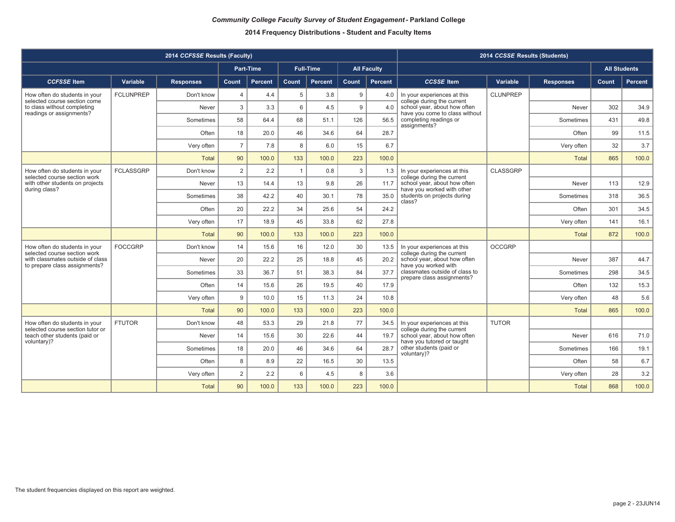|                                                                                  |                  | 2014 CCFSSE Results (Faculty) |                |           |              |                  |              |                    |                                                                | 2014 CCSSE Results (Students) |                  |                     |         |
|----------------------------------------------------------------------------------|------------------|-------------------------------|----------------|-----------|--------------|------------------|--------------|--------------------|----------------------------------------------------------------|-------------------------------|------------------|---------------------|---------|
|                                                                                  |                  |                               |                | Part-Time |              | <b>Full-Time</b> |              | <b>All Faculty</b> |                                                                |                               |                  | <b>All Students</b> |         |
| <b>CCFSSE</b> Item                                                               | Variable         | <b>Responses</b>              | <b>Count</b>   | Percent   | Count        | <b>Percent</b>   | Count        | Percent            | <b>CCSSE</b> Item                                              | Variable                      | <b>Responses</b> | Count               | Percent |
| How often do students in your<br>selected course section come                    | <b>FCLUNPREP</b> | Don't know                    | $\overline{4}$ | 4.4       | 5            | 3.8              | 9            | 4.0                | In your experiences at this<br>college during the current      | <b>CLUNPREP</b>               |                  |                     |         |
| to class without completing<br>readings or assignments?                          |                  | Never                         | 3              | 3.3       | 6            | 4.5              | 9            | 4.0                | school year, about how often<br>have you come to class without |                               | Never            | 302                 | 34.9    |
|                                                                                  |                  | Sometimes                     | 58             | 64.4      | 68           | 51.1             | 126          | 56.5               | completing readings or<br>assignments?                         |                               | Sometimes        | 431                 | 49.8    |
|                                                                                  |                  | Often                         | 18             | 20.0      | 46           | 34.6             | 64           | 28.7               |                                                                |                               | Often            | 99                  | 11.5    |
|                                                                                  |                  | Very often                    | $\overline{7}$ | 7.8       | 8            | 6.0              | 15           | 6.7                |                                                                |                               | Very often       | 32                  | 3.7     |
|                                                                                  |                  | <b>Total</b>                  | 90             | 100.0     | 133          | 100.0            | 223          | 100.0              |                                                                |                               | <b>Total</b>     | 865                 | 100.0   |
| How often do students in your<br>selected course section work                    | <b>FCLASSGRP</b> | Don't know                    | 2              | 2.2       | $\mathbf{1}$ | 0.8              | $\mathbf{3}$ | 1.3                | In your experiences at this<br>college during the current      | <b>CLASSGRP</b>               |                  |                     |         |
| with other students on projects<br>during class?                                 |                  | Never                         | 13             | 14.4      | 13           | 9.8              | 26           | 11.7               | school year, about how often<br>have you worked with other     |                               | Never            | 113                 | 12.9    |
|                                                                                  |                  | Sometimes                     | 38             | 42.2      | 40           | 30.1             | 78           | 35.0               | students on projects during<br>class?                          |                               | Sometimes        | 318                 | 36.5    |
|                                                                                  |                  | Often                         | 20             | 22.2      | 34           | 25.6             | 54           | 24.2               |                                                                |                               | Often            | 301                 | 34.5    |
|                                                                                  |                  | Very often                    | 17             | 18.9      | 45           | 33.8             | 62           | 27.8               |                                                                |                               | Very often       | 141                 | 16.1    |
|                                                                                  |                  | <b>Total</b>                  | 90             | 100.0     | 133          | 100.0            | 223          | 100.0              |                                                                |                               | <b>Total</b>     | 872                 | 100.0   |
| How often do students in your<br>selected course section work                    | <b>FOCCGRP</b>   | Don't know                    | 14             | 15.6      | 16           | 12.0             | 30           | 13.5               | In your experiences at this<br>college during the current      | <b>OCCGRP</b>                 |                  |                     |         |
| with classmates outside of class<br>to prepare class assignments?                |                  | Never                         | 20             | 22.2      | 25           | 18.8             | 45           | 20.2               | school year, about how often<br>have you worked with           |                               | Never            | 387                 | 44.7    |
|                                                                                  |                  | Sometimes                     | 33             | 36.7      | 51           | 38.3             | 84           | 37.7               | classmates outside of class to<br>prepare class assignments?   |                               | Sometimes        | 298                 | 34.5    |
|                                                                                  |                  | Often                         | 14             | 15.6      | 26           | 19.5             | 40           | 17.9               |                                                                |                               | Often            | 132                 | 15.3    |
|                                                                                  |                  | Very often                    | 9              | 10.0      | 15           | 11.3             | 24           | 10.8               |                                                                |                               | Very often       | 48                  | 5.6     |
|                                                                                  |                  | <b>Total</b>                  | 90             | 100.0     | 133          | 100.0            | 223          | 100.0              |                                                                |                               | <b>Total</b>     | 865                 | 100.0   |
| How often do students in your                                                    | <b>FTUTOR</b>    | Don't know                    | 48             | 53.3      | 29           | 21.8             | 77           | 34.5               | In your experiences at this<br>college during the current      | <b>TUTOR</b>                  |                  |                     |         |
| selected course section tutor or<br>teach other students (paid or<br>voluntary)? |                  | Never                         | 14             | 15.6      | 30           | 22.6             | 44           | 19.7               | school year, about how often<br>have you tutored or taught     |                               | Never            | 616                 | 71.0    |
|                                                                                  |                  | Sometimes                     | 18             | 20.0      | 46           | 34.6             | 64           | 28.7               | other students (paid or<br>voluntary)?                         |                               | Sometimes        | 166                 | 19.1    |
|                                                                                  |                  | Often                         | 8              | 8.9       | 22           | 16.5             | 30           | 13.5               |                                                                |                               | Often            | 58                  | 6.7     |
|                                                                                  |                  | Very often                    | $\overline{2}$ | 2.2       | 6            | 4.5              | 8            | 3.6                |                                                                |                               | Very often       | 28                  | 3.2     |
|                                                                                  |                  | <b>Total</b>                  | 90             | 100.0     | 133          | 100.0            | 223          | 100.0              |                                                                |                               | <b>Total</b>     | 868                 | 100.0   |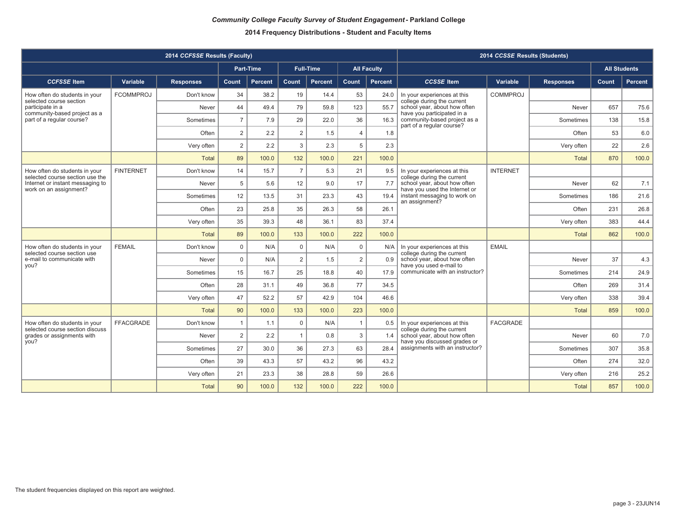|                                                                  |                  | 2014 CCFSSE Results (Faculty) |                |           |                |                  |                |                    |                                                               | 2014 CCSSE Results (Students) |                  |                     |         |
|------------------------------------------------------------------|------------------|-------------------------------|----------------|-----------|----------------|------------------|----------------|--------------------|---------------------------------------------------------------|-------------------------------|------------------|---------------------|---------|
|                                                                  |                  |                               |                | Part-Time |                | <b>Full-Time</b> |                | <b>All Faculty</b> |                                                               |                               |                  | <b>All Students</b> |         |
| <b>CCFSSE</b> Item                                               | Variable         | <b>Responses</b>              | <b>Count</b>   | Percent   | Count          | <b>Percent</b>   | Count          | Percent            | <b>CCSSE</b> Item                                             | Variable                      | <b>Responses</b> | Count               | Percent |
| How often do students in your<br>selected course section         | <b>FCOMMPROJ</b> | Don't know                    | 34             | 38.2      | 19             | 14.4             | 53             | 24.0               | In your experiences at this<br>college during the current     | <b>COMMPROJ</b>               |                  |                     |         |
| participate in a<br>community-based project as a                 |                  | Never                         | 44             | 49.4      | 79             | 59.8             | 123            | 55.7               | school year, about how often<br>have you participated in a    |                               | Never            | 657                 | 75.6    |
| part of a regular course?                                        |                  | Sometimes                     | $\overline{7}$ | 7.9       | 29             | 22.0             | 36             | 16.3               | community-based project as a<br>part of a regular course?     |                               | Sometimes        | 138                 | 15.8    |
|                                                                  |                  | Often                         | 2              | 2.2       | $\overline{2}$ | 1.5              | $\overline{4}$ | 1.8                |                                                               |                               | Often            | 53                  | 6.0     |
|                                                                  |                  | Very often                    | $\overline{2}$ | 2.2       | 3              | 2.3              | 5              | 2.3                |                                                               |                               | Very often       | 22                  | 2.6     |
|                                                                  |                  | <b>Total</b>                  | 89             | 100.0     | 132            | 100.0            | 221            | 100.0              |                                                               |                               | <b>Total</b>     | 870                 | 100.0   |
| How often do students in your<br>selected course section use the | <b>FINTERNET</b> | Don't know                    | 14             | 15.7      | $\overline{7}$ | 5.3              | 21             | 9.5                | In your experiences at this<br>college during the current     | <b>INTERNET</b>               |                  |                     |         |
| Internet or instant messaging to<br>work on an assignment?       |                  | Never                         | 5              | 5.6       | 12             | 9.0              | 17             | 7.7                | school year, about how often<br>have you used the Internet or |                               | Never            | 62                  | 7.1     |
|                                                                  |                  | Sometimes                     | 12             | 13.5      | 31             | 23.3             | 43             | 19.4               | instant messaging to work on<br>an assignment?                |                               | Sometimes        | 186                 | 21.6    |
|                                                                  |                  | Often                         | 23             | 25.8      | 35             | 26.3             | 58             | 26.1               |                                                               |                               | Often            | 231                 | 26.8    |
|                                                                  |                  | Very often                    | 35             | 39.3      | 48             | 36.1             | 83             | 37.4               |                                                               |                               | Very often       | 383                 | 44.4    |
|                                                                  |                  | <b>Total</b>                  | 89             | 100.0     | 133            | 100.0            | 222            | 100.0              |                                                               |                               | <b>Total</b>     | 862                 | 100.0   |
| How often do students in your<br>selected course section use     | <b>FEMAIL</b>    | Don't know                    | $\mathbf 0$    | N/A       | $\mathbf 0$    | N/A              | $\mathbf 0$    | N/A                | In your experiences at this<br>college during the current     | <b>EMAIL</b>                  |                  |                     |         |
| e-mail to communicate with<br>you?                               |                  | Never                         | $\mathbf 0$    | N/A       | 2              | 1.5              | 2              | 0.9                | school year, about how often<br>have you used e-mail to       |                               | Never            | 37                  | 4.3     |
|                                                                  |                  | Sometimes                     | 15             | 16.7      | 25             | 18.8             | 40             | 17.9               | communicate with an instructor?                               |                               | Sometimes        | 214                 | 24.9    |
|                                                                  |                  | Often                         | 28             | 31.1      | 49             | 36.8             | 77             | 34.5               |                                                               |                               | Often            | 269                 | 31.4    |
|                                                                  |                  | Very often                    | 47             | 52.2      | 57             | 42.9             | 104            | 46.6               |                                                               |                               | Very often       | 338                 | 39.4    |
|                                                                  |                  | <b>Total</b>                  | 90             | 100.0     | 133            | 100.0            | 223            | 100.0              |                                                               |                               | <b>Total</b>     | 859                 | 100.0   |
| How often do students in your<br>selected course section discuss | FFACGRADE        | Don't know                    | $\mathbf{1}$   | 1.1       | $\mathsf 0$    | N/A              | $\overline{1}$ | 0.5                | In your experiences at this<br>college during the current     | <b>FACGRADE</b>               |                  |                     |         |
| grades or assignments with<br>you?                               |                  | Never                         | 2              | 2.2       | $\mathbf{1}$   | 0.8              | 3              | 1.4                | school year, about how often<br>have you discussed grades or  |                               | Never            | 60                  | 7.0     |
|                                                                  |                  | Sometimes                     | 27             | 30.0      | 36             | 27.3             | 63             | 28.4               | assignments with an instructor?                               |                               | Sometimes        | 307                 | 35.8    |
|                                                                  |                  | Often                         | 39             | 43.3      | 57             | 43.2             | 96             | 43.2               |                                                               |                               | Often            | 274                 | 32.0    |
|                                                                  |                  | Very often                    | 21             | 23.3      | 38             | 28.8             | 59             | 26.6               |                                                               |                               | Very often       | 216                 | 25.2    |
|                                                                  |                  | <b>Total</b>                  | 90             | 100.0     | 132            | 100.0            | 222            | 100.0              |                                                               |                               | <b>Total</b>     | 857                 | 100.0   |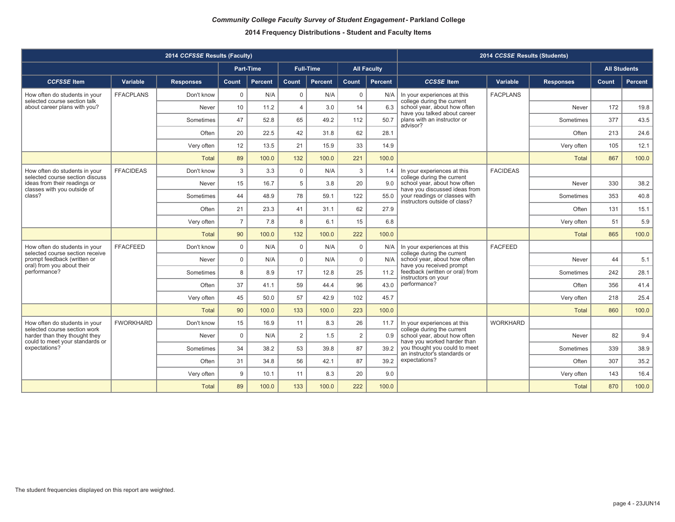|                                                                  |                  | 2014 CCFSSE Results (Faculty) |                |                  |                |                  |                |                    |                                                                | 2014 CCSSE Results (Students) |                  |                     |                |
|------------------------------------------------------------------|------------------|-------------------------------|----------------|------------------|----------------|------------------|----------------|--------------------|----------------------------------------------------------------|-------------------------------|------------------|---------------------|----------------|
|                                                                  |                  |                               |                | <b>Part-Time</b> |                | <b>Full-Time</b> |                | <b>All Faculty</b> |                                                                |                               |                  | <b>All Students</b> |                |
| <b>CCFSSE</b> Item                                               | Variable         | <b>Responses</b>              | Count          | Percent          | Count          | Percent          | <b>Count</b>   | <b>Percent</b>     | <b>CCSSE</b> Item                                              | Variable                      | <b>Responses</b> | Count               | <b>Percent</b> |
| How often do students in your<br>selected course section talk    | <b>FFACPLANS</b> | Don't know                    | $\mathbf 0$    | N/A              | 0              | N/A              | $\mathbf 0$    | N/A                | In your experiences at this<br>college during the current      | <b>FACPLANS</b>               |                  |                     |                |
| about career plans with you?                                     |                  | Never                         | 10             | 11.2             | $\overline{4}$ | 3.0              | 14             | 6.3                | school year, about how often<br>have you talked about career   |                               | Never            | 172                 | 19.8           |
|                                                                  |                  | Sometimes                     | 47             | 52.8             | 65             | 49.2             | 112            | 50.7               | plans with an instructor or<br>advisor?                        |                               | Sometimes        | 377                 | 43.5           |
|                                                                  |                  | Often                         | 20             | 22.5             | 42             | 31.8             | 62             | 28.1               |                                                                |                               | Often            | 213                 | 24.6           |
|                                                                  |                  | Very often                    | 12             | 13.5             | 21             | 15.9             | 33             | 14.9               |                                                                |                               | Very often       | 105                 | 12.1           |
|                                                                  |                  | <b>Total</b>                  | 89             | 100.0            | 132            | 100.0            | 221            | 100.0              |                                                                |                               | <b>Total</b>     | 867                 | 100.0          |
| How often do students in your<br>selected course section discuss | <b>FFACIDEAS</b> | Don't know                    | 3              | 3.3              | $\mathbf 0$    | N/A              | 3              | 1.4                | In your experiences at this<br>college during the current      | <b>FACIDEAS</b>               |                  |                     |                |
| ideas from their readings or<br>classes with you outside of      |                  | Never                         | 15             | 16.7             | 5              | 3.8              | 20             | 9.0                | school year, about how often<br>have you discussed ideas from  |                               | Never            | 330                 | 38.2           |
| class?                                                           |                  | Sometimes                     | 44             | 48.9             | 78             | 59.1             | 122            | 55.0               | your readings or classes with<br>instructors outside of class? |                               | Sometimes        | 353                 | 40.8           |
|                                                                  |                  | Often                         | 21             | 23.3             | 41             | 31.1             | 62             | 27.9               |                                                                |                               | Often            | 131                 | 15.1           |
|                                                                  |                  | Very often                    | $\overline{7}$ | 7.8              | 8              | 6.1              | 15             | 6.8                |                                                                |                               | Very often       | 51                  | 5.9            |
|                                                                  |                  | <b>Total</b>                  | 90             | 100.0            | 132            | 100.0            | 222            | 100.0              |                                                                |                               | <b>Total</b>     | 865                 | 100.0          |
| How often do students in your<br>selected course section receive | <b>FFACFEED</b>  | Don't know                    | $\mathbf 0$    | N/A              | $\mathbf 0$    | N/A              | $\mathbf 0$    | N/A                | In your experiences at this<br>college during the current      | <b>FACFEED</b>                |                  |                     |                |
| prompt feedback (written or<br>oral) from you about their        |                  | Never                         | $\mathbf 0$    | N/A              | $\Omega$       | N/A              | $\Omega$       | N/A                | school year, about how often<br>have you received prompt       |                               | Never            | 44                  | 5.1            |
| performance?                                                     |                  | Sometimes                     | 8              | 8.9              | 17             | 12.8             | 25             | 11.2               | feedback (written or oral) from<br>instructors on your         |                               | Sometimes        | 242                 | 28.1           |
|                                                                  |                  | Often                         | 37             | 41.1             | 59             | 44.4             | 96             | 43.0               | performance?                                                   |                               | Often            | 356                 | 41.4           |
|                                                                  |                  | Very often                    | 45             | 50.0             | 57             | 42.9             | 102            | 45.7               |                                                                |                               | Very often       | 218                 | 25.4           |
|                                                                  |                  | <b>Total</b>                  | 90             | 100.0            | 133            | 100.0            | 223            | 100.0              |                                                                |                               | <b>Total</b>     | 860                 | 100.0          |
| How often do students in your<br>selected course section work    | <b>FWORKHARD</b> | Don't know                    | 15             | 16.9             | 11             | 8.3              | 26             | 11.7               | In your experiences at this<br>college during the current      | <b>WORKHARD</b>               |                  |                     |                |
| harder than they thought they<br>could to meet your standards or |                  | Never                         | $\mathbf 0$    | N/A              | $\overline{2}$ | 1.5              | $\overline{2}$ | 0.9                | school year, about how often<br>have you worked harder than    |                               | Never            | 82                  | 9.4            |
| expectations?                                                    |                  | Sometimes                     | 34             | 38.2             | 53             | 39.8             | 87             | 39.2               | you thought you could to meet<br>an instructor's standards or  |                               | Sometimes        | 339                 | 38.9           |
|                                                                  |                  | Often                         | 31             | 34.8             | 56             | 42.1             | 87             | 39.2               | expectations?                                                  |                               | Often            | 307                 | 35.2           |
|                                                                  |                  | Very often                    | 9              | 10.1             | 11             | 8.3              | 20             | 9.0                |                                                                |                               | Very often       | 143                 | 16.4           |
|                                                                  |                  | <b>Total</b>                  | 89             | 100.0            | 133            | 100.0            | 222            | 100.0              |                                                                |                               | <b>Total</b>     | 870                 | 100.0          |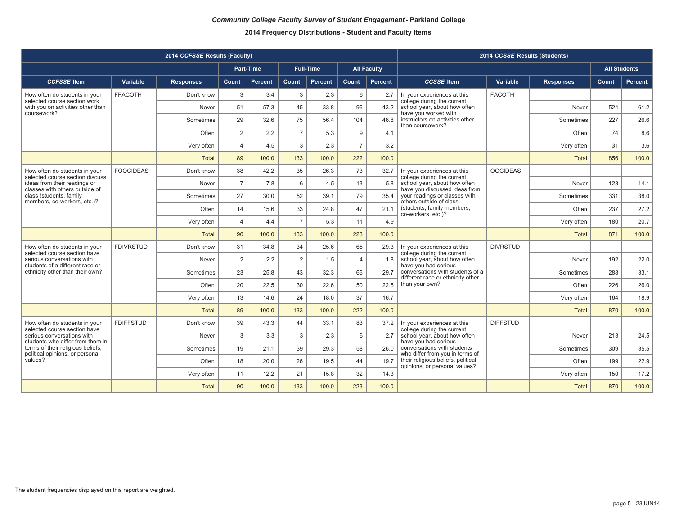|                                                                      |                  | 2014 CCFSSE Results (Faculty) |                         |           |                |                  |                |                    |                                                                       | 2014 CCSSE Results (Students) |                  |                     |                |
|----------------------------------------------------------------------|------------------|-------------------------------|-------------------------|-----------|----------------|------------------|----------------|--------------------|-----------------------------------------------------------------------|-------------------------------|------------------|---------------------|----------------|
|                                                                      |                  |                               |                         | Part-Time |                | <b>Full-Time</b> |                | <b>All Faculty</b> |                                                                       |                               |                  | <b>All Students</b> |                |
| <b>CCFSSE</b> Item                                                   | Variable         | <b>Responses</b>              | Count                   | Percent   | Count          | Percent          | Count          | <b>Percent</b>     | <b>CCSSE</b> Item                                                     | Variable                      | <b>Responses</b> | <b>Count</b>        | <b>Percent</b> |
| How often do students in your<br>selected course section work        | <b>FFACOTH</b>   | Don't know                    | 3                       | 3.4       | 3              | 2.3              | 6              | 2.7                | In your experiences at this<br>college during the current             | <b>FACOTH</b>                 |                  |                     |                |
| with you on activities other than<br>coursework?                     |                  | Never                         | 51                      | 57.3      | 45             | 33.8             | 96             | 43.2               | school year, about how often<br>have you worked with                  |                               | Never            | 524                 | 61.2           |
|                                                                      |                  | Sometimes                     | 29                      | 32.6      | 75             | 56.4             | 104            | 46.8               | instructors on activities other<br>than coursework?                   |                               | Sometimes        | 227                 | 26.6           |
|                                                                      |                  | Often                         | 2                       | 2.2       | $\overline{7}$ | 5.3              | 9              | 4.1                |                                                                       |                               | Often            | 74                  | 8.6            |
|                                                                      |                  | Very often                    | $\overline{4}$          | 4.5       | 3              | 2.3              | $\overline{7}$ | 3.2                |                                                                       |                               | Very often       | 31                  | 3.6            |
|                                                                      |                  | <b>Total</b>                  | 89                      | 100.0     | 133            | 100.0            | 222            | 100.0              |                                                                       |                               | <b>Total</b>     | 856                 | 100.0          |
| How often do students in your<br>selected course section discuss     | <b>FOOCIDEAS</b> | Don't know                    | 38                      | 42.2      | 35             | 26.3             | 73             | 32.7               | In your experiences at this<br>college during the current             | <b>OOCIDEAS</b>               |                  |                     |                |
| ideas from their readings or<br>classes with others outside of       |                  | Never                         | $\overline{7}$          | 7.8       | 6              | 4.5              | 13             | 5.8                | school year, about how often<br>have you discussed ideas from         |                               | Never            | 123                 | 14.1           |
| class (students, family<br>members, co-workers, etc.)?               |                  | Sometimes                     | 27                      | 30.0      | 52             | 39.1             | 79             | 35.4               | your readings or classes with<br>others outside of class              |                               | Sometimes        | 331                 | 38.0           |
|                                                                      |                  | Often                         | 14                      | 15.6      | 33             | 24.8             | 47             | 21.1               | (students, family members,<br>co-workers, etc.)?                      |                               | Often            | 237                 | 27.2           |
|                                                                      |                  | Very often                    | $\overline{\mathbf{A}}$ | 4.4       | $\overline{7}$ | 5.3              | 11             | 4.9                |                                                                       |                               | Very often       | 180                 | 20.7           |
|                                                                      |                  | <b>Total</b>                  | 90                      | 100.0     | 133            | 100.0            | 223            | 100.0              |                                                                       |                               | <b>Total</b>     | 871                 | 100.0          |
| How often do students in your<br>selected course section have        | <b>FDIVRSTUD</b> | Don't know                    | 31                      | 34.8      | 34             | 25.6             | 65             | 29.3               | In your experiences at this<br>college during the current             | <b>DIVRSTUD</b>               |                  |                     |                |
| serious conversations with<br>students of a different race or        |                  | Never                         | 2                       | 2.2       | 2              | 1.5              | $\overline{4}$ | 1.8                | school year, about how often<br>have you had serious                  |                               | Never            | 192                 | 22.0           |
| ethnicity other than their own?                                      |                  | Sometimes                     | 23                      | 25.8      | 43             | 32.3             | 66             | 29.7               | conversations with students of a<br>different race or ethnicity other |                               | Sometimes        | 288                 | 33.1           |
|                                                                      |                  | Often                         | 20                      | 22.5      | 30             | 22.6             | 50             | 22.5               | than your own?                                                        |                               | Often            | 226                 | 26.0           |
|                                                                      |                  | Very often                    | 13                      | 14.6      | 24             | 18.0             | 37             | 16.7               |                                                                       |                               | Very often       | 164                 | 18.9           |
|                                                                      |                  | <b>Total</b>                  | 89                      | 100.0     | 133            | 100.0            | 222            | 100.0              |                                                                       |                               | <b>Total</b>     | 870                 | 100.0          |
| How often do students in your<br>selected course section have        | <b>FDIFFSTUD</b> | Don't know                    | 39                      | 43.3      | 44             | 33.1             | 83             | 37.2               | In your experiences at this<br>college during the current             | <b>DIFFSTUD</b>               |                  |                     |                |
| serious conversations with<br>students who differ from them in       |                  | Never                         | 3                       | 3.3       | 3              | 2.3              | 6              | 2.7                | school year, about how often<br>have you had serious                  |                               | Never            | 213                 | 24.5           |
| terms of their religious beliefs,<br>political opinions, or personal |                  | Sometimes                     | 19                      | 21.1      | 39             | 29.3             | 58             | 26.0               | conversations with students<br>who differ from you in terms of        |                               | Sometimes        | 309                 | 35.5           |
| values?                                                              |                  | Often                         | 18                      | 20.0      | 26             | 19.5             | 44             | 19.7               | their religious beliefs, political<br>opinions, or personal values?   |                               | Often            | 199                 | 22.9           |
|                                                                      |                  | Very often                    | 11                      | 12.2      | 21             | 15.8             | 32             | 14.3               |                                                                       |                               | Very often       | 150                 | 17.2           |
|                                                                      |                  | <b>Total</b>                  | 90                      | 100.0     | 133            | 100.0            | 223            | 100.0              |                                                                       |                               | <b>Total</b>     | 870                 | 100.0          |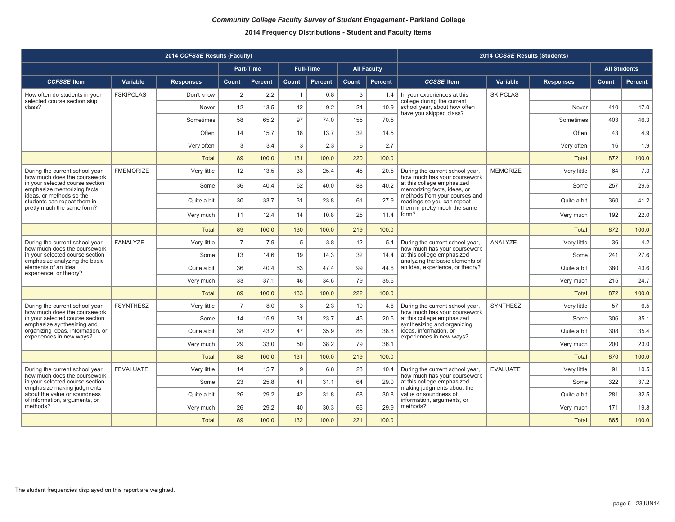|                                                                                       |                  | 2014 CCFSSE Results (Faculty) |                |                |                |                  |       |                    |                                                                                             | 2014 CCSSE Results (Students) |                  |       |                     |
|---------------------------------------------------------------------------------------|------------------|-------------------------------|----------------|----------------|----------------|------------------|-------|--------------------|---------------------------------------------------------------------------------------------|-------------------------------|------------------|-------|---------------------|
|                                                                                       |                  |                               |                | Part-Time      |                | <b>Full-Time</b> |       | <b>All Faculty</b> |                                                                                             |                               |                  |       | <b>All Students</b> |
| <b>CCFSSE</b> Item                                                                    | Variable         | <b>Responses</b>              | Count          | <b>Percent</b> | Count          | <b>Percent</b>   | Count | <b>Percent</b>     | <b>CCSSE</b> Item                                                                           | Variable                      | <b>Responses</b> | Count | <b>Percent</b>      |
| How often do students in your<br>selected course section skip                         | <b>FSKIPCLAS</b> | Don't know                    | 2              | 2.2            | $\overline{1}$ | 0.8              | 3     | 1.4                | In your experiences at this<br>college during the current                                   | <b>SKIPCLAS</b>               |                  |       |                     |
| class?                                                                                |                  | Never                         | 12             | 13.5           | 12             | 9.2              | 24    | 10.9               | school year, about how often<br>have you skipped class?                                     |                               | Never            | 410   | 47.0                |
|                                                                                       |                  | Sometimes                     | 58             | 65.2           | 97             | 74.0             | 155   | 70.5               |                                                                                             |                               | Sometimes        | 403   | 46.3                |
|                                                                                       |                  | Often                         | 14             | 15.7           | 18             | 13.7             | 32    | 14.5               |                                                                                             |                               | Often            | 43    | 4.9                 |
|                                                                                       |                  | Very often                    | 3              | 3.4            | 3              | 2.3              | 6     | 2.7                |                                                                                             |                               | Very often       | 16    | 1.9                 |
|                                                                                       |                  | <b>Total</b>                  | 89             | 100.0          | 131            | 100.0            | 220   | 100.0              |                                                                                             |                               | Total            | 872   | 100.0               |
| During the current school year,<br>how much does the coursework                       | <b>FMEMORIZE</b> | Very little                   | 12             | 13.5           | 33             | 25.4             | 45    | 20.5               | During the current school year,<br>how much has your coursework                             | <b>MEMORIZE</b>               | Very little      | 64    | 7.3                 |
| in your selected course section<br>emphasize memorizing facts,                        |                  | Some                          | 36             | 40.4           | 52             | 40.0             | 88    | 40.2               | at this college emphasized<br>memorizing facts, ideas, or                                   |                               | Some             | 257   | 29.5                |
| ideas, or methods so the<br>students can repeat them in<br>pretty much the same form? |                  | Quite a bit                   | 30             | 33.7           | 31             | 23.8             | 61    | 27.9               | methods from your courses and<br>readings so you can repeat<br>them in pretty much the same |                               | Quite a bit      | 360   | 41.2                |
|                                                                                       |                  | Very much                     | 11             | 12.4           | 14             | 10.8             | 25    | 11.4               | form?                                                                                       |                               | Very much        | 192   | 22.0                |
|                                                                                       |                  | Total                         | 89             | 100.0          | 130            | 100.0            | 219   | 100.0              |                                                                                             |                               | Total            | 872   | 100.0               |
| During the current school year,<br>how much does the coursework                       | <b>FANALYZE</b>  | Very little                   | $\overline{7}$ | 7.9            | 5              | 3.8              | 12    | 5.4                | During the current school year,<br>how much has your coursework                             | ANALYZE                       | Very little      | 36    | 4.2                 |
| in your selected course section<br>emphasize analyzing the basic                      |                  | Some                          | 13             | 14.6           | 19             | 14.3             | 32    | 14.4               | at this college emphasized<br>analyzing the basic elements of                               |                               | Some             | 241   | 27.6                |
| elements of an idea,<br>experience, or theory?                                        |                  | Quite a bit                   | 36             | 40.4           | 63             | 47.4             | 99    | 44.6               | an idea, experience, or theory?                                                             |                               | Quite a bit      | 380   | 43.6                |
|                                                                                       |                  | Very much                     | 33             | 37.1           | 46             | 34.6             | 79    | 35.6               |                                                                                             |                               | Very much        | 215   | 24.7                |
|                                                                                       |                  | <b>Total</b>                  | 89             | 100.0          | 133            | 100.0            | 222   | 100.0              |                                                                                             |                               | <b>Total</b>     | 872   | 100.0               |
| During the current school year,<br>how much does the coursework                       | <b>FSYNTHESZ</b> | Very little                   | $\overline{7}$ | 8.0            | 3              | 2.3              | 10    | 4.6                | During the current school year,<br>how much has your coursework                             | <b>SYNTHESZ</b>               | Very little      | 57    | 6.5                 |
| in your selected course section<br>emphasize synthesizing and                         |                  | Some                          | 14             | 15.9           | 31             | 23.7             | 45    | 20.5               | at this college emphasized<br>synthesizing and organizing                                   |                               | Some             | 306   | 35.1                |
| organizing ideas, information, or<br>experiences in new ways?                         |                  | Quite a bit                   | 38             | 43.2           | 47             | 35.9             | 85    | 38.8               | ideas. information, or<br>experiences in new ways?                                          |                               | Quite a bit      | 308   | 35.4                |
|                                                                                       |                  | Very much                     | 29             | 33.0           | 50             | 38.2             | 79    | 36.1               |                                                                                             |                               | Very much        | 200   | 23.0                |
|                                                                                       |                  | <b>Total</b>                  | 88             | 100.0          | 131            | 100.0            | 219   | 100.0              |                                                                                             |                               | <b>Total</b>     | 870   | 100.0               |
| During the current school year,<br>how much does the coursework                       | <b>FEVALUATE</b> | Very little                   | 14             | 15.7           | $9$            | 6.8              | 23    | 10.4               | During the current school year,<br>how much has your coursework                             | <b>EVALUATE</b>               | Very little      | 91    | 10.5                |
| in your selected course section<br>emphasize making judgments                         |                  | Some                          | 23             | 25.8           | 41             | 31.1             | 64    | 29.0               | at this college emphasized<br>making judgments about the                                    |                               | Some             | 322   | 37.2                |
| about the value or soundness<br>of information, arguments, or                         |                  | Quite a bit                   | 26             | 29.2           | 42             | 31.8             | 68    | 30.8               | value or soundness of<br>information, arguments, or                                         |                               | Quite a bit      | 281   | 32.5                |
| methods?                                                                              |                  | Very much                     | 26             | 29.2           | 40             | 30.3             | 66    | 29.9               | methods?                                                                                    |                               | Very much        | 171   | 19.8                |
|                                                                                       |                  | <b>Total</b>                  | 89             | 100.0          | 132            | 100.0            | 221   | 100.0              |                                                                                             |                               | <b>Total</b>     | 865   | 100.0               |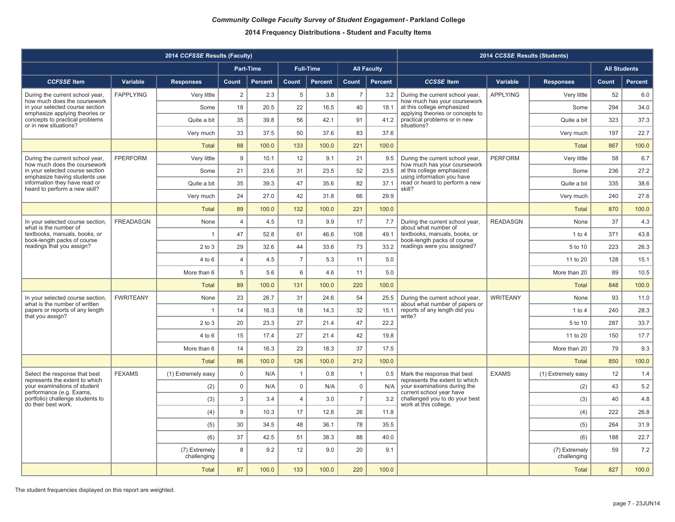|                                                                   |                  | 2014 CCFSSE Results (Faculty) |                |                  |                |                  |                |                    |                                                                   | 2014 CCSSE Results (Students) |                              |                     |                |
|-------------------------------------------------------------------|------------------|-------------------------------|----------------|------------------|----------------|------------------|----------------|--------------------|-------------------------------------------------------------------|-------------------------------|------------------------------|---------------------|----------------|
|                                                                   |                  |                               |                | <b>Part-Time</b> |                | <b>Full-Time</b> |                | <b>All Faculty</b> |                                                                   |                               |                              | <b>All Students</b> |                |
| <b>CCFSSE</b> Item                                                | Variable         | <b>Responses</b>              | Count          | <b>Percent</b>   | Count          | <b>Percent</b>   | Count          | <b>Percent</b>     | <b>CCSSE</b> Item                                                 | Variable                      | <b>Responses</b>             | Count               | <b>Percent</b> |
| During the current school year,<br>how much does the coursework   | <b>FAPPLYING</b> | Very little                   | $\overline{2}$ | 2.3              | 5              | 3.8              | $\overline{7}$ | 3.2                | During the current school year,<br>how much has your coursework   | <b>APPLYING</b>               | Very little                  | 52                  | 6.0            |
| in your selected course section<br>emphasize applying theories or |                  | Some                          | 18             | 20.5             | 22             | 16.5             | 40             | 18.1               | at this college emphasized<br>applying theories or concepts to    |                               | Some                         | 294                 | 34.0           |
| concepts to practical problems<br>or in new situations?           |                  | Quite a bit                   | 35             | 39.8             | 56             | 42.1             | 91             | 41.2               | practical problems or in new<br>situations?                       |                               | Quite a bit                  | 323                 | 37.3           |
|                                                                   |                  | Very much                     | 33             | 37.5             | 50             | 37.6             | 83             | 37.6               |                                                                   |                               | Very much                    | 197                 | 22.7           |
|                                                                   |                  | <b>Total</b>                  | 88             | 100.0            | 133            | 100.0            | 221            | 100.0              |                                                                   |                               | <b>Total</b>                 | 867                 | 100.0          |
| During the current school year,<br>how much does the coursework   | <b>FPERFORM</b>  | Very little                   | 9              | 10.1             | 12             | 9.1              | 21             | 9.5                | During the current school year,<br>how much has your coursework   | <b>PERFORM</b>                | Very little                  | 58                  | 6.7            |
| in your selected course section<br>emphasize having students use  |                  | Some                          | 21             | 23.6             | 31             | 23.5             | 52             | 23.5               | at this college emphasized<br>using information you have          |                               | Some                         | 236                 | 27.2           |
| information they have read or<br>heard to perform a new skill?    |                  | Quite a bit                   | 35             | 39.3             | 47             | 35.6             | 82             | 37.1               | read or heard to perform a new<br>skill?                          |                               | Quite a bit                  | 335                 | 38.6           |
|                                                                   |                  | Very much                     | 24             | 27.0             | 42             | 31.8             | 66             | 29.9               |                                                                   |                               | Very much                    | 240                 | 27.6           |
|                                                                   |                  | <b>Total</b>                  | 89             | 100.0            | 132            | 100.0            | 221            | 100.0              |                                                                   |                               | <b>Total</b>                 | 870                 | 100.0          |
| In your selected course section,<br>what is the number of         | <b>FREADASGN</b> | None                          | $\overline{4}$ | 4.5              | 13             | 9.9              | 17             | 7.7                | During the current school year,<br>about what number of           | <b>READASGN</b>               | None                         | 37                  | 4.3            |
| textbooks, manuals, books, or<br>book-length packs of course      |                  | $\overline{1}$                | 47             | 52.8             | 61             | 46.6             | 108            | 49.1               | textbooks, manuals, books, or<br>book-length packs of course      |                               | $1$ to $4$                   | 371                 | 43.8           |
| readings that you assign?                                         |                  | $2$ to $3$                    | 29             | 32.6             | 44             | 33.6             | 73             | 33.2               | readings were you assigned?                                       |                               | 5 to 10                      | 223                 | 26.3           |
|                                                                   |                  | $4$ to $6$                    | 4              | 4.5              | $\overline{7}$ | 5.3              | 11             | 5.0                |                                                                   |                               | 11 to 20                     | 128                 | 15.1           |
|                                                                   |                  | More than 6                   | $\,$ 5 $\,$    | 5.6              | 6              | 4.6              | 11             | 5.0                |                                                                   |                               | More than 20                 | 89                  | 10.5           |
|                                                                   |                  | <b>Total</b>                  | 89             | 100.0            | 131            | 100.0            | 220            | 100.0              |                                                                   |                               | <b>Total</b>                 | 848                 | 100.0          |
| In your selected course section,<br>what is the number of written | <b>FWRITEANY</b> | None                          | 23             | 26.7             | 31             | 24.6             | 54             | 25.5               | During the current school year,<br>about what number of papers or | <b>WRITEANY</b>               | None                         | 93                  | 11.0           |
| papers or reports of any length<br>that you assign?               |                  | $\overline{1}$                | 14             | 16.3             | 18             | 14.3             | 32             | 15.1               | reports of any length did you<br>write?                           |                               | $1$ to $4$                   | 240                 | 28.3           |
|                                                                   |                  | $2$ to $3$                    | 20             | 23.3             | 27             | 21.4             | 47             | 22.2               |                                                                   |                               | 5 to 10                      | 287                 | 33.7           |
|                                                                   |                  | $4$ to $6$                    | 15             | 17.4             | 27             | 21.4             | 42             | 19.8               |                                                                   |                               | 11 to 20                     | 150                 | 17.7           |
|                                                                   |                  | More than 6                   | 14             | 16.3             | 23             | 18.3             | 37             | 17.5               |                                                                   |                               | More than 20                 | 79                  | 9.3            |
|                                                                   |                  | <b>Total</b>                  | 86             | 100.0            | 126            | 100.0            | 212            | 100.0              |                                                                   |                               | <b>Total</b>                 | 850                 | 100.0          |
| Select the response that best<br>represents the extent to which   | <b>FEXAMS</b>    | (1) Extremely easy            | $\mathbf 0$    | N/A              | $\mathbf{1}$   | 0.8              | $\overline{1}$ | 0.5                | Mark the response that best<br>represents the extent to which     | <b>EXAMS</b>                  | (1) Extremely easy           | 12                  | 1.4            |
| your examinations of student<br>performance (e.g. Exams,          |                  | (2)                           | $\mathsf 0$    | N/A              | $\pmb{0}$      | N/A              | $\mathsf 0$    | N/A                | your examinations during the<br>current school year have          |                               | (2)                          | 43                  | 5.2            |
| portfolio) challenge students to<br>do their best work.           |                  | (3)                           | 3              | 3.4              | $\overline{4}$ | 3.0              | $\overline{7}$ | 3.2                | challenged you to do your best<br>work at this college.           |                               | (3)                          | 40                  | 4.8            |
|                                                                   |                  | (4)                           | 9              | 10.3             | 17             | 12.8             | 26             | 11.8               |                                                                   |                               | (4)                          | 222                 | 26.8           |
|                                                                   |                  | (5)                           | 30             | 34.5             | 48             | 36.1             | 78             | 35.5               |                                                                   |                               | (5)                          | 264                 | 31.9           |
|                                                                   |                  | (6)                           | 37             | 42.5             | 51             | 38.3             | 88             | 40.0               |                                                                   |                               | (6)                          | 188                 | 22.7           |
|                                                                   |                  | (7) Extremely<br>challenging  | 8              | 9.2              | 12             | 9.0              | 20             | 9.1                |                                                                   |                               | (7) Extremely<br>challenging | 59                  | 7.2            |
|                                                                   |                  | <b>Total</b>                  | 87             | 100.0            | 133            | 100.0            | 220            | 100.0              |                                                                   |                               | <b>Total</b>                 | 827                 | 100.0          |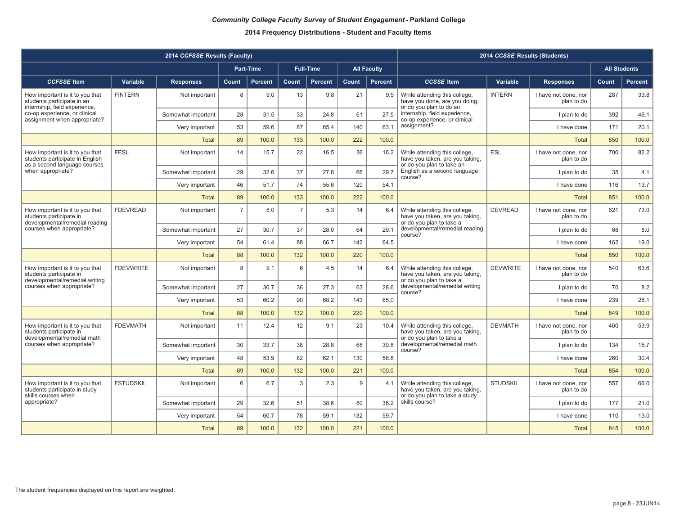|                                                                                                    |                  | 2014 CCFSSE Results (Faculty) |                |                |                |                  |       |                    |                                                                                                    | 2014 CCSSE Results (Students) |                                    |       |                     |
|----------------------------------------------------------------------------------------------------|------------------|-------------------------------|----------------|----------------|----------------|------------------|-------|--------------------|----------------------------------------------------------------------------------------------------|-------------------------------|------------------------------------|-------|---------------------|
|                                                                                                    |                  |                               |                | Part-Time      |                | <b>Full-Time</b> |       | <b>All Faculty</b> |                                                                                                    |                               |                                    |       | <b>All Students</b> |
| <b>CCFSSE</b> Item                                                                                 | Variable         | <b>Responses</b>              | Count          | <b>Percent</b> | Count          | <b>Percent</b>   | Count | Percent            | <b>CCSSE</b> Item                                                                                  | Variable                      | <b>Responses</b>                   | Count | Percent             |
| How important is it to you that<br>students participate in an                                      | <b>FINTERN</b>   | Not important                 | 8              | 9.0            | 13             | 9.8              | 21    | 9.5                | While attending this college,<br>have you done, are you doing,                                     | <b>INTERN</b>                 | I have not done, nor<br>plan to do | 287   | 33.8                |
| internship, field experience.<br>co-op experience, or clinical<br>assignment when appropriate?     |                  | Somewhat important            | 28             | 31.5           | 33             | 24.8             | 61    | 27.5               | or do you plan to do an<br>internship, field experience,<br>co-op experience, or clinical          |                               | I plan to do                       | 392   | 46.1                |
|                                                                                                    |                  | Very important                | 53             | 59.6           | 87             | 65.4             | 140   | 63.1               | assignment?                                                                                        |                               | I have done                        | 171   | 20.1                |
|                                                                                                    |                  | <b>Total</b>                  | 89             | 100.0          | 133            | 100.0            | 222   | 100.0              |                                                                                                    |                               | <b>Total</b>                       | 850   | 100.0               |
| How important is it to you that<br>students participate in English<br>as a second language courses | <b>FESL</b>      | Not important                 | 14             | 15.7           | 22             | 16.5             | 36    | 16.2               | While attending this college,<br>have you taken, are you taking,<br>or do you plan to take an      | ESL                           | I have not done, nor<br>plan to do | 700   | 82.2                |
| when appropriate?                                                                                  |                  | Somewhat important            | 29             | 32.6           | 37             | 27.8             | 66    | 29.7               | English as a second language<br>course?                                                            |                               | I plan to do                       | 35    | 4.1                 |
|                                                                                                    |                  | Very important                | 46             | 51.7           | 74             | 55.6             | 120   | 54.1               |                                                                                                    |                               | I have done                        | 116   | 13.7                |
|                                                                                                    |                  | <b>Total</b>                  | 89             | 100.0          | 133            | 100.0            | 222   | 100.0              |                                                                                                    |                               | <b>Total</b>                       | 851   | 100.0               |
| How important is it to you that<br>students participate in<br>developmental/remedial reading       | <b>FDEVREAD</b>  | Not important                 | $\overline{7}$ | 8.0            | $\overline{7}$ | 5.3              | 14    | 6.4                | While attending this college,<br>have you taken, are you taking,<br>or do you plan to take a       | <b>DEVREAD</b>                | I have not done, nor<br>plan to do | 621   | 73.0                |
| courses when appropriate?                                                                          |                  | Somewhat important            | 27             | 30.7           | 37             | 28.0             | 64    | 29.1               | developmental/remedial reading<br>course?                                                          |                               | I plan to do                       | 68    | 8.0                 |
|                                                                                                    |                  | Very important                | 54             | 61.4           | 88             | 66.7             | 142   | 64.5               |                                                                                                    |                               | I have done                        | 162   | 19.0                |
|                                                                                                    |                  | <b>Total</b>                  | 88             | 100.0          | 132            | 100.0            | 220   | 100.0              |                                                                                                    |                               | Total                              | 850   | 100.0               |
| How important is it to you that<br>students participate in<br>developmental/remedial writing       | <b>FDEVWRITE</b> | Not important                 | 8              | 9.1            | 6              | 4.5              | 14    | 6.4                | While attending this college,<br>have you taken, are you taking,<br>or do you plan to take a       | <b>DEVWRITE</b>               | I have not done, nor<br>plan to do | 540   | 63.6                |
| courses when appropriate?                                                                          |                  | Somewhat important            | 27             | 30.7           | 36             | 27.3             | 63    | 28.6               | developmental/remedial writing<br>course?                                                          |                               | I plan to do                       | 70    | 8.2                 |
|                                                                                                    |                  | Very important                | 53             | 60.2           | 90             | 68.2             | 143   | 65.0               |                                                                                                    |                               | I have done                        | 239   | 28.1                |
|                                                                                                    |                  | Total                         | 88             | 100.0          | 132            | 100.0            | 220   | 100.0              |                                                                                                    |                               | Total                              | 849   | 100.0               |
| How important is it to you that<br>students participate in<br>developmental/remedial math          | <b>FDEVMATH</b>  | Not important                 | 11             | 12.4           | 12             | 9.1              | 23    | 10.4               | While attending this college,<br>have you taken, are you taking,<br>or do you plan to take a       | <b>DEVMATH</b>                | I have not done, nor<br>plan to do | 460   | 53.9                |
| courses when appropriate?                                                                          |                  | Somewhat important            | 30             | 33.7           | 38             | 28.8             | 68    | 30.8               | developmental/remedial math<br>course?                                                             |                               | I plan to do                       | 134   | 15.7                |
|                                                                                                    |                  | Very important                | 48             | 53.9           | 82             | 62.1             | 130   | 58.8               |                                                                                                    |                               | I have done                        | 260   | 30.4                |
|                                                                                                    |                  | <b>Total</b>                  | 89             | 100.0          | 132            | 100.0            | 221   | 100.0              |                                                                                                    |                               | <b>Total</b>                       | 854   | 100.0               |
| How important is it to you that<br>students participate in study<br>skills courses when            | <b>FSTUDSKIL</b> | Not important                 | 6              | 6.7            | 3              | 2.3              | 9     | 4.1                | While attending this college,<br>have you taken, are you taking,<br>or do you plan to take a study | <b>STUDSKIL</b>               | I have not done, nor<br>plan to do | 557   | 66.0                |
| appropriate?                                                                                       |                  | Somewhat important            | 29             | 32.6           | 51             | 38.6             | 80    | 36.2               | skills course?                                                                                     |                               | I plan to do                       | 177   | 21.0                |
|                                                                                                    |                  | Very important                | 54             | 60.7           | 78             | 59.1             | 132   | 59.7               |                                                                                                    |                               | I have done                        | 110   | 13.0                |
|                                                                                                    |                  | <b>Total</b>                  | 89             | 100.0          | 132            | 100.0            | 221   | 100.0              |                                                                                                    |                               | <b>Total</b>                       | 845   | 100.0               |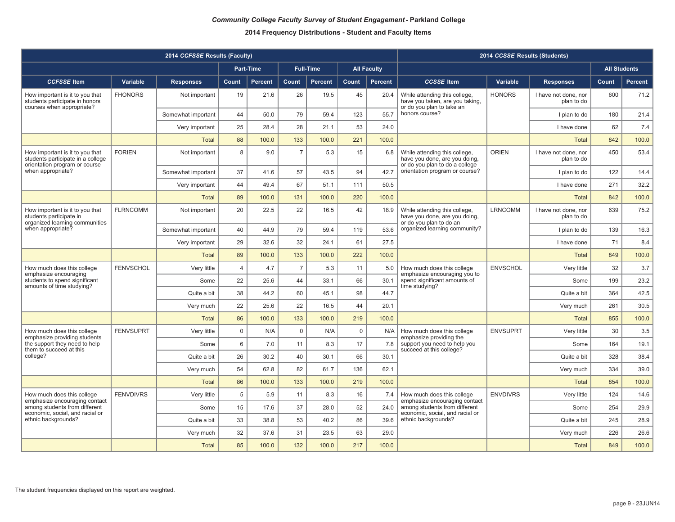|                                                                                                       |                  | 2014 CCFSSE Results (Faculty) |                |                  |                |                  |              |                    |                                                                                                  | 2014 CCSSE Results (Students) |                                    |                     |                |
|-------------------------------------------------------------------------------------------------------|------------------|-------------------------------|----------------|------------------|----------------|------------------|--------------|--------------------|--------------------------------------------------------------------------------------------------|-------------------------------|------------------------------------|---------------------|----------------|
|                                                                                                       |                  |                               |                | <b>Part-Time</b> |                | <b>Full-Time</b> |              | <b>All Faculty</b> |                                                                                                  |                               |                                    | <b>All Students</b> |                |
| <b>CCFSSE</b> Item                                                                                    | Variable         | <b>Responses</b>              | Count          | <b>Percent</b>   | <b>Count</b>   | <b>Percent</b>   | <b>Count</b> | <b>Percent</b>     | <b>CCSSE</b> Item                                                                                | Variable                      | <b>Responses</b>                   | Count               | <b>Percent</b> |
| How important is it to you that<br>students participate in honors<br>courses when appropriate?        | <b>FHONORS</b>   | Not important                 | 19             | 21.6             | 26             | 19.5             | 45           | 20.4               | While attending this college,<br>have you taken, are you taking,<br>or do you plan to take an    | <b>HONORS</b>                 | I have not done, nor<br>plan to do | 600                 | 71.2           |
|                                                                                                       |                  | Somewhat important            | 44             | 50.0             | 79             | 59.4             | 123          | 55.7               | honors course?                                                                                   |                               | I plan to do                       | 180                 | 21.4           |
|                                                                                                       |                  | Very important                | 25             | 28.4             | 28             | 21.1             | 53           | 24.0               |                                                                                                  |                               | I have done                        | 62                  | 7.4            |
|                                                                                                       |                  | Total                         | 88             | 100.0            | 133            | 100.0            | 221          | 100.0              |                                                                                                  |                               | Total                              | 842                 | 100.0          |
| How important is it to you that<br>students participate in a college<br>orientation program or course | <b>FORIEN</b>    | Not important                 | 8              | 9.0              | $\overline{7}$ | 5.3              | 15           | 6.8                | While attending this college,<br>have you done, are you doing,<br>or do you plan to do a college | <b>ORIEN</b>                  | I have not done, nor<br>plan to do | 450                 | 53.4           |
| when appropriate?                                                                                     |                  | Somewhat important            | 37             | 41.6             | 57             | 43.5             | 94           | 42.7               | orientation program or course?                                                                   |                               | I plan to do                       | 122                 | 14.4           |
|                                                                                                       |                  | Very important                | 44             | 49.4             | 67             | 51.1             | 111          | 50.5               |                                                                                                  |                               | I have done                        | 271                 | 32.2           |
|                                                                                                       |                  | Total                         | 89             | 100.0            | 131            | 100.0            | 220          | 100.0              |                                                                                                  |                               | <b>Total</b>                       | 842                 | 100.0          |
| How important is it to you that<br>students participate in<br>organized learning communities          | <b>FLRNCOMM</b>  | Not important                 | 20             | 22.5             | 22             | 16.5             | 42           | 18.9               | While attending this college,<br>have you done, are you doing,<br>or do you plan to do an        | <b>LRNCOMM</b>                | I have not done, nor<br>plan to do | 639                 | 75.2           |
| when appropriate?                                                                                     |                  | Somewhat important            | 40             | 44.9             | 79             | 59.4             | 119          | 53.6               | organized learning community?                                                                    |                               | I plan to do                       | 139                 | 16.3           |
|                                                                                                       |                  | Very important                | 29             | 32.6             | 32             | 24.1             | 61           | 27.5               |                                                                                                  |                               | I have done                        | 71                  | 8.4            |
|                                                                                                       |                  | <b>Total</b>                  | 89             | 100.0            | 133            | 100.0            | 222          | 100.0              |                                                                                                  |                               | Total                              | 849                 | 100.0          |
| How much does this college<br>emphasize encouraging                                                   | <b>FENVSCHOL</b> | Very little                   | $\overline{4}$ | 4.7              | $\overline{7}$ | 5.3              | 11           | 5.0                | How much does this college<br>emphasize encouraging you to                                       | <b>ENVSCHOL</b>               | Very little                        | 32                  | 3.7            |
| students to spend significant<br>amounts of time studying?                                            |                  | Some                          | 22             | 25.6             | 44             | 33.1             | 66           | 30.1               | spend significant amounts of<br>time studying?                                                   |                               | Some                               | 199                 | 23.2           |
|                                                                                                       |                  | Quite a bit                   | 38             | 44.2             | 60             | 45.1             | 98           | 44.7               |                                                                                                  |                               | Quite a bit                        | 364                 | 42.5           |
|                                                                                                       |                  | Very much                     | 22             | 25.6             | 22             | 16.5             | 44           | 20.1               |                                                                                                  |                               | Very much                          | 261                 | 30.5           |
|                                                                                                       |                  | Total                         | 86             | 100.0            | 133            | 100.0            | 219          | 100.0              |                                                                                                  |                               | <b>Total</b>                       | 855                 | 100.0          |
| How much does this college<br>emphasize providing students                                            | <b>FENVSUPRT</b> | Very little                   | $\mathbf 0$    | N/A              | $\mathbf 0$    | N/A              | $\mathbf 0$  | N/A                | How much does this college<br>emphasize providing the                                            | <b>ENVSUPRT</b>               | Very little                        | 30                  | 3.5            |
| the support they need to help<br>them to succeed at this                                              |                  | Some                          | 6              | 7.0              | 11             | 8.3              | 17           | 7.8                | support you need to help you<br>succeed at this college?                                         |                               | Some                               | 164                 | 19.1           |
| college?                                                                                              |                  | Quite a bit                   | 26             | 30.2             | 40             | 30.1             | 66           | 30.1               |                                                                                                  |                               | Quite a bit                        | 328                 | 38.4           |
|                                                                                                       |                  | Very much                     | 54             | 62.8             | 82             | 61.7             | 136          | 62.1               |                                                                                                  |                               | Very much                          | 334                 | 39.0           |
|                                                                                                       |                  | <b>Total</b>                  | 86             | 100.0            | 133            | 100.0            | 219          | 100.0              |                                                                                                  |                               | <b>Total</b>                       | 854                 | 100.0          |
| How much does this college<br>emphasize encouraging contact                                           | <b>FENVDIVRS</b> | Very little                   | 5              | 5.9              | 11             | 8.3              | 16           | 7.4                | How much does this college<br>emphasize encouraging contact                                      | <b>ENVDIVRS</b>               | Very little                        | 124                 | 14.6           |
| among students from different<br>economic, social, and racial or                                      |                  | Some                          | 15             | 17.6             | 37             | 28.0             | 52           | 24.0               | among students from different<br>economic, social, and racial or                                 |                               | Some                               | 254                 | 29.9           |
| ethnic backgrounds?                                                                                   |                  | Quite a bit                   | 33             | 38.8             | 53             | 40.2             | 86           | 39.6               | ethnic backgrounds?                                                                              |                               | Quite a bit                        | 245                 | 28.9           |
|                                                                                                       |                  | Very much                     | 32             | 37.6             | 31             | 23.5             | 63           | 29.0               |                                                                                                  |                               | Very much                          | 226                 | 26.6           |
|                                                                                                       |                  | <b>Total</b>                  | 85             | 100.0            | 132            | 100.0            | 217          | 100.0              |                                                                                                  |                               | <b>Total</b>                       | 849                 | 100.0          |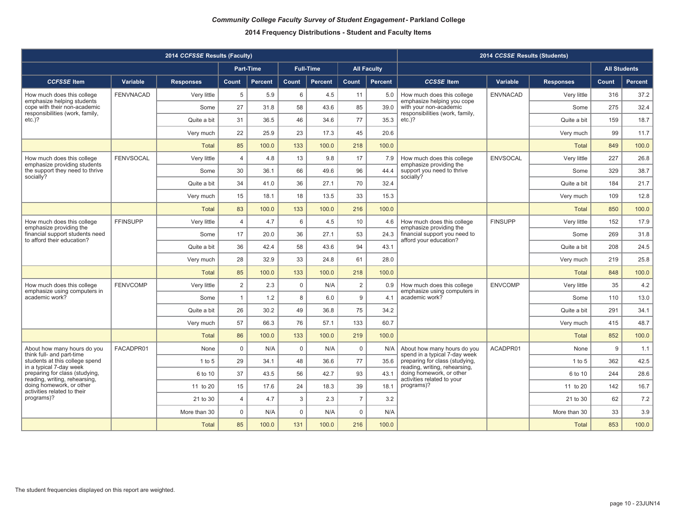|                                                                                               |                  | 2014 CCFSSE Results (Faculty) |                |                  |             |                  |                |                    |                                                                                         | 2014 CCSSE Results (Students) |                  |                     |         |
|-----------------------------------------------------------------------------------------------|------------------|-------------------------------|----------------|------------------|-------------|------------------|----------------|--------------------|-----------------------------------------------------------------------------------------|-------------------------------|------------------|---------------------|---------|
|                                                                                               |                  |                               |                | <b>Part-Time</b> |             | <b>Full-Time</b> |                | <b>All Faculty</b> |                                                                                         |                               |                  | <b>All Students</b> |         |
| <b>CCFSSE Item</b>                                                                            | Variable         | <b>Responses</b>              | Count          | <b>Percent</b>   | Count       | Percent          | Count          | Percent            | <b>CCSSE</b> Item                                                                       | Variable                      | <b>Responses</b> | Count               | Percent |
| How much does this college                                                                    | <b>FENVNACAD</b> | Very little                   | 5              | 5.9              | 6           | 4.5              | 11             | 5.0                | How much does this college                                                              | <b>ENVNACAD</b>               | Very little      | 316                 | 37.2    |
| emphasize helping students<br>cope with their non-academic<br>responsibilities (work, family, |                  | Some                          | 27             | 31.8             | 58          | 43.6             | 85             | 39.0               | emphasize helping you cope<br>with your non-academic<br>responsibilities (work, family, |                               | Some             | 275                 | 32.4    |
| $etc.$ )?                                                                                     |                  | Quite a bit                   | 31             | 36.5             | 46          | 34.6             | 77             | 35.3               | $etc.$ )?                                                                               |                               | Quite a bit      | 159                 | 18.7    |
|                                                                                               |                  | Verv much                     | 22             | 25.9             | 23          | 17.3             | 45             | 20.6               |                                                                                         |                               | Verv much        | 99                  | 11.7    |
|                                                                                               |                  | <b>Total</b>                  | 85             | 100.0            | 133         | 100.0            | 218            | 100.0              |                                                                                         |                               | <b>Total</b>     | 849                 | 100.0   |
| How much does this college<br>emphasize providing students                                    | <b>FENVSOCAL</b> | Very little                   | $\overline{4}$ | 4.8              | 13          | 9.8              | 17             | 7.9                | How much does this college<br>emphasize providing the                                   | <b>ENVSOCAL</b>               | Verv little      | 227                 | 26.8    |
| the support they need to thrive<br>socially?                                                  |                  | Some                          | 30             | 36.1             | 66          | 49.6             | 96             | 44.4               | support you need to thrive<br>socially?                                                 |                               | Some             | 329                 | 38.7    |
|                                                                                               |                  | Quite a bit                   | 34             | 41.0             | 36          | 27.1             | 70             | 32.4               |                                                                                         |                               | Quite a bit      | 184                 | 21.7    |
|                                                                                               |                  | Very much                     | 15             | 18.1             | 18          | 13.5             | 33             | 15.3               |                                                                                         |                               | Very much        | 109                 | 12.8    |
|                                                                                               |                  | <b>Total</b>                  | 83             | 100.0            | 133         | 100.0            | 216            | 100.0              |                                                                                         |                               | <b>Total</b>     | 850                 | 100.0   |
| How much does this college<br>emphasize providing the                                         | <b>FFINSUPP</b>  | Very little                   | $\overline{4}$ | 4.7              | 6           | 4.5              | 10             | 4.6                | How much does this college<br>emphasize providing the                                   | <b>FINSUPP</b>                | Very little      | 152                 | 17.9    |
| financial support students need<br>to afford their education?                                 |                  | Some                          | 17             | 20.0             | 36          | 27.1             | 53             | 24.3               | financial support you need to<br>afford your education?                                 |                               | Some             | 269                 | 31.8    |
|                                                                                               |                  | Quite a bit                   | 36             | 42.4             | 58          | 43.6             | 94             | 43.1               |                                                                                         |                               | Quite a bit      | 208                 | 24.5    |
|                                                                                               |                  | Very much                     | 28             | 32.9             | 33          | 24.8             | 61             | 28.0               |                                                                                         |                               | Very much        | 219                 | 25.8    |
|                                                                                               |                  | <b>Total</b>                  | 85             | 100.0            | 133         | 100.0            | 218            | 100.0              |                                                                                         |                               | Total            | 848                 | 100.0   |
| How much does this college<br>emphasize using computers in                                    | <b>FENVCOMP</b>  | Very little                   | $\overline{2}$ | 2.3              | $\mathbf 0$ | N/A              | $\overline{2}$ | 0.9                | How much does this college<br>emphasize using computers in                              | <b>ENVCOMP</b>                | Very little      | 35                  | 4.2     |
| academic work?                                                                                |                  | Some                          | $\mathbf{1}$   | 1.2              | 8           | 6.0              | 9              | 4.1                | academic work?                                                                          |                               | Some             | 110                 | 13.0    |
|                                                                                               |                  | Quite a bit                   | 26             | 30.2             | 49          | 36.8             | 75             | 34.2               |                                                                                         |                               | Quite a bit      | 291                 | 34.1    |
|                                                                                               |                  | Very much                     | 57             | 66.3             | 76          | 57.1             | 133            | 60.7               |                                                                                         |                               | Very much        | 415                 | 48.7    |
|                                                                                               |                  | <b>Total</b>                  | 86             | 100.0            | 133         | 100.0            | 219            | 100.0              |                                                                                         |                               | <b>Total</b>     | 852                 | 100.0   |
| About how many hours do you<br>think full- and part-time                                      | FACADPR01        | None                          | $\mathbf 0$    | N/A              | $\mathbf 0$ | N/A              | $\mathbf 0$    | N/A                | About how many hours do you<br>spend in a typical 7-day week                            | ACADPR01                      | None             | 9                   | 1.1     |
| students at this college spend<br>in a typical 7-day week                                     |                  | $1$ to $5$                    | 29             | 34.1             | 48          | 36.6             | 77             | 35.6               | preparing for class (studying,<br>reading, writing, rehearsing,                         |                               | $1$ to $5$       | 362                 | 42.5    |
| preparing for class (studying,<br>reading, writing, rehearsing,                               |                  | 6 to 10                       | 37             | 43.5             | 56          | 42.7             | 93             | 43.1               | doing homework, or other<br>activities related to your                                  |                               | 6 to 10          | 244                 | 28.6    |
| doing homework, or other<br>activities related to their                                       |                  | 11 to 20                      | 15             | 17.6             | 24          | 18.3             | 39             | 18.1               | programs)?                                                                              |                               | 11 to 20         | 142                 | 16.7    |
| programs)?                                                                                    |                  | 21 to 30                      | $\overline{4}$ | 4.7              | 3           | 2.3              | $\overline{7}$ | 3.2                |                                                                                         |                               | 21 to 30         | 62                  | 7.2     |
|                                                                                               |                  | More than 30                  | $\mathsf 0$    | N/A              | $\mathbf 0$ | N/A              | $\mathbf 0$    | N/A                |                                                                                         |                               | More than 30     | 33                  | 3.9     |
|                                                                                               |                  | <b>Total</b>                  | 85             | 100.0            | 131         | 100.0            | 216            | 100.0              |                                                                                         |                               | <b>Total</b>     | 853                 | 100.0   |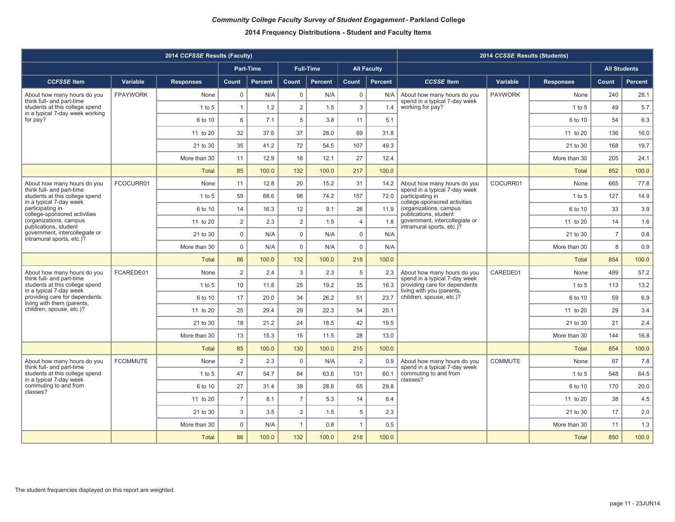|                                                                                                |                 | 2014 CCFSSE Results (Faculty) |                |                  |                |                  |                 |                    |                                                              | 2014 CCSSE Results (Students) |                  |                     |                |
|------------------------------------------------------------------------------------------------|-----------------|-------------------------------|----------------|------------------|----------------|------------------|-----------------|--------------------|--------------------------------------------------------------|-------------------------------|------------------|---------------------|----------------|
|                                                                                                |                 |                               |                | <b>Part-Time</b> |                | <b>Full-Time</b> |                 | <b>All Faculty</b> |                                                              |                               |                  | <b>All Students</b> |                |
| <b>CCFSSE Item</b>                                                                             | Variable        | <b>Responses</b>              | Count          | <b>Percent</b>   | Count          | Percent          | Count           | <b>Percent</b>     | <b>CCSSE</b> Item                                            | Variable                      | <b>Responses</b> | Count               | <b>Percent</b> |
| About how many hours do you                                                                    | <b>FPAYWORK</b> | None                          | $\mathbf 0$    | N/A              | 0              | N/A              | $\mathbf 0$     | N/A                | About how many hours do you                                  | <b>PAYWORK</b>                | None             | 240                 | 28.1           |
| think full- and part-time<br>students at this college spend<br>in a typical 7-day week working |                 | $1$ to $5$                    | $\mathbf{1}$   | 1.2              | $\overline{2}$ | 1.5              | 3               | 1.4                | spend in a typical 7-day week<br>working for pay?            |                               | 1 to 5           | 49                  | 5.7            |
| for pay?                                                                                       |                 | 6 to 10                       | 6              | 7.1              | 5              | 3.8              | 11              | 5.1                |                                                              |                               | 6 to 10          | 54                  | 6.3            |
|                                                                                                |                 | 11 to 20                      | 32             | 37.6             | 37             | 28.0             | 69              | 31.8               |                                                              |                               | 11 to 20         | 136                 | 16.0           |
|                                                                                                |                 | 21 to 30                      | 35             | 41.2             | 72             | 54.5             | 107             | 49.3               |                                                              |                               | 21 to 30         | 168                 | 19.7           |
|                                                                                                |                 | More than 30                  | 11             | 12.9             | 16             | 12.1             | 27              | 12.4               |                                                              |                               | More than 30     | 205                 | 24.1           |
|                                                                                                |                 | <b>Total</b>                  | 85             | 100.0            | 132            | 100.0            | 217             | 100.0              |                                                              |                               | <b>Total</b>     | 852                 | 100.0          |
| About how many hours do you<br>think full- and part-time                                       | FCOCURR01       | None                          | 11             | 12.8             | 20             | 15.2             | 31              | 14.2               | About how many hours do you<br>spend in a typical 7-day week | COCURR01                      | None             | 665                 | 77.8           |
| students at this college spend<br>in a typical 7-day week                                      |                 | $1$ to $5$                    | 59             | 68.6             | 98             | 74.2             | 157             | 72.0               | participating in<br>college-sponsored activities             |                               | $1$ to $5$       | 127                 | 14.9           |
| participating in<br>college-sponsored activities                                               |                 | 6 to 10                       | 14             | 16.3             | 12             | 9.1              | 26              | 11.9               | (organizations, campus<br>publications, student              |                               | 6 to 10          | 33                  | 3.9            |
| (organizations, campus<br>publications, student                                                |                 | 11 to 20                      | $\overline{2}$ | 2.3              | 2              | 1.5              | $\overline{4}$  | 1.8                | government, intercollegiate or<br>intramural sports, etc.)?  |                               | 11 to 20         | 14                  | 1.6            |
| government, intercollegiate or<br>intramural sports, etc.)?                                    |                 | 21 to 30                      | $\mathsf 0$    | N/A              | $\mathbf 0$    | N/A              | $\mathbf 0$     | N/A                |                                                              |                               | 21 to 30         | $\overline{7}$      | 0.8            |
|                                                                                                |                 | More than 30                  | $\mathbf 0$    | N/A              | $\Omega$       | N/A              | $\mathbf 0$     | N/A                |                                                              |                               | More than 30     | 8                   | 0.9            |
|                                                                                                |                 | <b>Total</b>                  | 86             | 100.0            | 132            | 100.0            | 218             | 100.0              |                                                              |                               | <b>Total</b>     | 854                 | 100.0          |
| About how many hours do you<br>think full- and part-time                                       | FCAREDE01       | None                          | $\overline{2}$ | 2.4              | 3              | 2.3              | $5\phantom{.0}$ | 2.3                | About how many hours do you<br>spend in a typical 7-day week | CAREDE01                      | None             | 489                 | 57.2           |
| students at this college spend<br>in a typical 7-day week                                      |                 | $1$ to 5                      | 10             | 11.8             | 25             | 19.2             | 35              | 16.3               | providing care for dependents<br>living with you (parents,   |                               | $1$ to 5         | 113                 | 13.2           |
| providing care for dependents<br>living with them (parents,                                    |                 | 6 to 10                       | 17             | 20.0             | 34             | 26.2             | 51              | 23.7               | children, spouse, etc.)?                                     |                               | 6 to 10          | 59                  | 6.9            |
| children, spouse, etc.)?                                                                       |                 | 11 to 20                      | 25             | 29.4             | 29             | 22.3             | 54              | 25.1               |                                                              |                               | 11 to 20         | 29                  | 3.4            |
|                                                                                                |                 | 21 to 30                      | 18             | 21.2             | 24             | 18.5             | 42              | 19.5               |                                                              |                               | 21 to 30         | 21                  | 2.4            |
|                                                                                                |                 | More than 30                  | 13             | 15.3             | 15             | 11.5             | 28              | 13.0               |                                                              |                               | More than 30     | 144                 | 16.8           |
|                                                                                                |                 | <b>Total</b>                  | 85             | 100.0            | 130            | 100.0            | 215             | 100.0              |                                                              |                               | <b>Total</b>     | 854                 | 100.0          |
| About how many hours do you<br>think full- and part-time                                       | <b>FCOMMUTE</b> | None                          | $\overline{2}$ | 2.3              | $\mathsf 0$    | N/A              | $\overline{2}$  | 0.9                | About how many hours do you<br>spend in a typical 7-day week | <b>COMMUTE</b>                | None             | 67                  | 7.8            |
| students at this college spend<br>in a typical 7-day week                                      |                 | $1$ to 5                      | 47             | 54.7             | 84             | 63.6             | 131             | 60.1               | commuting to and from<br>classes?                            |                               | $1$ to $5$       | 548                 | 64.5           |
| commuting to and from<br>classes?                                                              |                 | 6 to 10                       | 27             | 31.4             | 38             | 28.8             | 65              | 29.8               |                                                              |                               | 6 to 10          | 170                 | 20.0           |
|                                                                                                |                 | 11 to 20                      | $\overline{7}$ | 8.1              | $\overline{7}$ | 5.3              | 14              | 6.4                |                                                              |                               | 11 to 20         | 38                  | 4.5            |
|                                                                                                |                 | 21 to 30                      | 3              | 3.5              | 2              | 1.5              | $5\phantom{.0}$ | 2.3                |                                                              |                               | 21 to 30         | 17                  | 2.0            |
|                                                                                                |                 | More than 30                  | $\mathsf 0$    | N/A              | $\mathbf{1}$   | 0.8              | $\overline{1}$  | 0.5                |                                                              |                               | More than 30     | 11                  | 1.3            |
|                                                                                                |                 | <b>Total</b>                  | 86             | 100.0            | 132            | 100.0            | 218             | 100.0              |                                                              |                               | Total            | 850                 | 100.0          |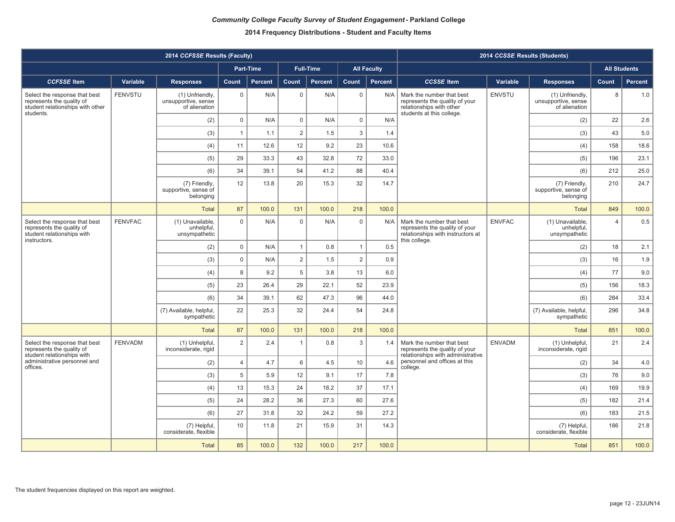|                                                                                                          |                | 2014 CCFSSE Results (Faculty)                           |                |                  |                 |                  |                |                    |                                                                                                                   | 2014 CCSSE Results (Students) |                                                         |                |                     |
|----------------------------------------------------------------------------------------------------------|----------------|---------------------------------------------------------|----------------|------------------|-----------------|------------------|----------------|--------------------|-------------------------------------------------------------------------------------------------------------------|-------------------------------|---------------------------------------------------------|----------------|---------------------|
|                                                                                                          |                |                                                         |                | <b>Part-Time</b> |                 | <b>Full-Time</b> |                | <b>All Faculty</b> |                                                                                                                   |                               |                                                         |                | <b>All Students</b> |
| <b>CCFSSE</b> Item                                                                                       | Variable       | <b>Responses</b>                                        | Count          | Percent          | Count           | <b>Percent</b>   | Count          | Percent            | <b>CCSSE</b> Item                                                                                                 | Variable                      | <b>Responses</b>                                        | Count          | <b>Percent</b>      |
| Select the response that best<br>represents the quality of<br>student relationships with other           | <b>FENVSTU</b> | (1) Unfriendly,<br>unsupportive, sense<br>of alienation | $\mathbf 0$    | N/A              | $\mathbf 0$     | N/A              | $\mathbf 0$    | N/A                | Mark the number that best<br>represents the quality of your<br>relationships with other                           | <b>ENVSTU</b>                 | (1) Unfriendly,<br>unsupportive, sense<br>of alienation | 8              | 1.0                 |
| students.                                                                                                |                | (2)                                                     | $\mathbf 0$    | N/A              | $\mathsf 0$     | N/A              | $\mathsf 0$    | N/A                | students at this college.                                                                                         |                               | (2)                                                     | 22             | 2.6                 |
|                                                                                                          |                | (3)                                                     | $\mathbf{1}$   | 1.1              | $\overline{2}$  | 1.5              | 3              | 1.4                |                                                                                                                   |                               | (3)                                                     | 43             | 5.0                 |
|                                                                                                          |                | (4)                                                     | 11             | 12.6             | 12              | 9.2              | 23             | 10.6               |                                                                                                                   |                               | (4)                                                     | 158            | 18.6                |
|                                                                                                          |                | (5)                                                     | 29             | 33.3             | 43              | 32.8             | 72             | 33.0               |                                                                                                                   |                               | (5)                                                     | 196            | 23.1                |
|                                                                                                          |                | (6)                                                     | 34             | 39.1             | 54              | 41.2             | 88             | 40.4               |                                                                                                                   |                               | (6)                                                     | 212            | 25.0                |
|                                                                                                          |                | (7) Friendly,<br>supportive, sense of<br>belonging      | 12             | 13.8             | 20              | 15.3             | 32             | 14.7               |                                                                                                                   |                               | (7) Friendly,<br>supportive, sense of<br>belonging      | 210            | 24.7                |
|                                                                                                          |                | <b>Total</b>                                            | 87             | 100.0            | 131             | 100.0            | 218            | 100.0              |                                                                                                                   |                               | <b>Total</b>                                            | 849            | 100.0               |
| Select the response that best<br>represents the quality of<br>student relationships with<br>instructors. | <b>FENVFAC</b> | (1) Unavailable,<br>unhelpful,<br>unsympathetic         | $\Omega$       | N/A              | $\mathbf 0$     | N/A              | $\Omega$       | N/A                | Mark the number that best<br>represents the quality of your<br>relationships with instructors at<br>this college. | <b>ENVFAC</b>                 | (1) Unavailable,<br>unhelpful,<br>unsympathetic         | $\overline{4}$ | 0.5                 |
|                                                                                                          |                | (2)                                                     | $\mathbf 0$    | N/A              | $\overline{1}$  | 0.8              | $\mathbf{1}$   | 0.5                |                                                                                                                   |                               | (2)                                                     | 18             | 2.1                 |
|                                                                                                          |                | (3)                                                     | $\mathbf 0$    | N/A              | $\overline{2}$  | 1.5              | $\overline{2}$ | 0.9                |                                                                                                                   |                               | (3)                                                     | 16             | 1.9                 |
|                                                                                                          |                | (4)                                                     | 8              | 9.2              | 5               | 3.8              | 13             | 6.0                |                                                                                                                   |                               | (4)                                                     | 77             | 9.0                 |
|                                                                                                          |                | (5)                                                     | 23             | 26.4             | 29              | 22.1             | 52             | 23.9               |                                                                                                                   |                               | (5)                                                     | 156            | 18.3                |
|                                                                                                          |                | (6)                                                     | 34             | 39.1             | 62              | 47.3             | 96             | 44.0               |                                                                                                                   |                               | (6)                                                     | 284            | 33.4                |
|                                                                                                          |                | (7) Available, helpful,<br>sympathetic                  | 22             | 25.3             | 32              | 24.4             | 54             | 24.8               |                                                                                                                   |                               | (7) Available, helpful,<br>sympathetic                  | 296            | 34.8                |
|                                                                                                          |                | <b>Total</b>                                            | 87             | 100.0            | 131             | 100.0            | 218            | 100.0              |                                                                                                                   |                               | <b>Total</b>                                            | 851            | 100.0               |
| Select the response that best<br>represents the quality of<br>student relationships with                 | <b>FENVADM</b> | (1) Unhelpful,<br>inconsiderate, rigid                  | $\overline{2}$ | 2.4              | $\overline{1}$  | 0.8              | $\mathbf{3}$   | 1.4                | Mark the number that best<br>represents the quality of your<br>relationships with administrative                  | <b>ENVADM</b>                 | (1) Unhelpful,<br>inconsiderate, rigid                  | 21             | 2.4                 |
| administrative personnel and<br>offices.                                                                 |                | (2)                                                     | $\overline{4}$ | 4.7              | $6\phantom{1}6$ | 4.5              | 10             | 4.6                | personnel and offices at this<br>college.                                                                         |                               | (2)                                                     | 34             | 4.0                 |
|                                                                                                          |                | (3)                                                     | 5              | 5.9              | 12              | 9.1              | 17             | 7.8                |                                                                                                                   |                               | (3)                                                     | 76             | 9.0                 |
|                                                                                                          |                | (4)                                                     | 13             | 15.3             | 24              | 18.2             | 37             | 17.1               |                                                                                                                   |                               | (4)                                                     | 169            | 19.9                |
|                                                                                                          |                | (5)                                                     | 24             | 28.2             | 36              | 27.3             | 60             | 27.6               |                                                                                                                   |                               | (5)                                                     | 182            | 21.4                |
|                                                                                                          |                | (6)                                                     | 27             | 31.8             | 32              | 24.2             | 59             | 27.2               |                                                                                                                   |                               | (6)                                                     | 183            | 21.5                |
|                                                                                                          |                | (7) Helpful,<br>considerate, flexible                   | 10             | 11.8             | 21              | 15.9             | 31             | 14.3               |                                                                                                                   |                               | (7) Helpful,<br>considerate, flexible                   | 186            | 21.8                |
|                                                                                                          |                | <b>Total</b>                                            | 85             | 100.0            | 132             | 100.0            | 217            | 100.0              |                                                                                                                   |                               | <b>Total</b>                                            | 851            | 100.0               |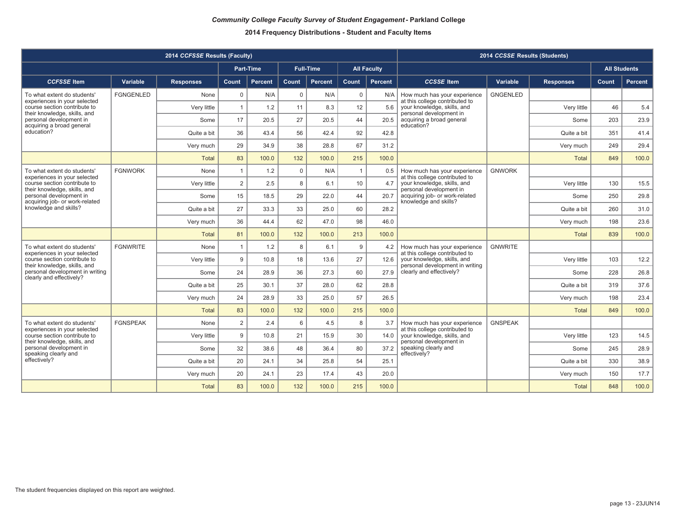|                                                                                 |                  | 2014 CCFSSE Results (Faculty) | 2014 CCSSE Results (Students) |                  |             |                  |                |                    |                                                                |                |                  |                     |         |
|---------------------------------------------------------------------------------|------------------|-------------------------------|-------------------------------|------------------|-------------|------------------|----------------|--------------------|----------------------------------------------------------------|----------------|------------------|---------------------|---------|
|                                                                                 |                  |                               |                               | <b>Part-Time</b> |             | <b>Full-Time</b> |                | <b>All Faculty</b> |                                                                |                |                  | <b>All Students</b> |         |
| <b>CCFSSE Item</b>                                                              | Variable         | <b>Responses</b>              | <b>Count</b>                  | Percent          | Count       | Percent          | Count          | Percent            | <b>CCSSE</b> Item                                              | Variable       | <b>Responses</b> | Count               | Percent |
| To what extent do students'<br>experiences in your selected                     | <b>FGNGENLED</b> | None                          | $\mathbf 0$                   | N/A              | $\mathbf 0$ | N/A              | $\mathbf 0$    | N/A                | How much has your experience<br>at this college contributed to | GNGENLED       |                  |                     |         |
| course section contribute to<br>their knowledge, skills, and                    |                  | Very little                   | $\mathbf{1}$                  | 1.2              | 11          | 8.3              | 12             | 5.6                | your knowledge, skills, and<br>personal development in         |                | Very little      | 46                  | 5.4     |
| personal development in<br>acquiring a broad general                            |                  | Some                          | 17                            | 20.5             | 27          | 20.5             | 44             | 20.5               | acquiring a broad general<br>education?                        |                | Some             | 203                 | 23.9    |
| education?                                                                      |                  | Quite a bit                   | 36                            | 43.4             | 56          | 42.4             | 92             | 42.8               |                                                                |                | Quite a bit      | 351                 | 41.4    |
|                                                                                 |                  | Very much                     | 29                            | 34.9             | 38          | 28.8             | 67             | 31.2               |                                                                |                | Very much        | 249                 | 29.4    |
|                                                                                 |                  | <b>Total</b>                  | 83                            | 100.0            | 132         | 100.0            | 215            | 100.0              |                                                                |                | <b>Total</b>     | 849                 | 100.0   |
| To what extent do students'<br>experiences in your selected                     | <b>FGNWORK</b>   | None                          | $\mathbf{1}$                  | 1.2              | $\mathbf 0$ | N/A              | $\overline{1}$ | 0.5                | How much has your experience<br>at this college contributed to | <b>GNWORK</b>  |                  |                     |         |
| course section contribute to<br>their knowledge, skills, and                    |                  | Very little                   | 2                             | 2.5              | 8           | 6.1              | 10             | 4.7                | your knowledge, skills, and<br>personal development in         |                | Very little      | 130                 | 15.5    |
| personal development in<br>acquiring job- or work-related                       |                  | Some                          | 15                            | 18.5             | 29          | 22.0             | 44             | 20.7               | acquiring job- or work-related<br>knowledge and skills?        |                | Some             | 250                 | 29.8    |
| knowledge and skills?                                                           |                  | Quite a bit                   | 27                            | 33.3             | 33          | 25.0             | 60             | 28.2               |                                                                |                | Quite a bit      | 260                 | 31.0    |
|                                                                                 |                  | Very much                     | 36                            | 44.4             | 62          | 47.0             | 98             | 46.0               |                                                                |                | Very much        | 198                 | 23.6    |
|                                                                                 |                  | <b>Total</b>                  | 81                            | 100.0            | 132         | 100.0            | 213            | 100.0              |                                                                |                | <b>Total</b>     | 839                 | 100.0   |
| To what extent do students'<br>experiences in your selected                     | <b>FGNWRITE</b>  | None                          | $\mathbf{1}$                  | 1.2              | 8           | 6.1              | 9              | 4.2                | How much has your experience<br>at this college contributed to | <b>GNWRITE</b> |                  |                     |         |
| course section contribute to<br>their knowledge, skills, and                    |                  | Very little                   | 9                             | 10.8             | 18          | 13.6             | 27             | 12.6               | your knowledge, skills, and<br>personal development in writing |                | Very little      | 103                 | 12.2    |
| personal development in writing<br>clearly and effectively?                     |                  | Some                          | 24                            | 28.9             | 36          | 27.3             | 60             | 27.9               | clearly and effectively?                                       |                | Some             | 228                 | 26.8    |
|                                                                                 |                  | Quite a bit                   | 25                            | 30.1             | 37          | 28.0             | 62             | 28.8               |                                                                |                | Quite a bit      | 319                 | 37.6    |
|                                                                                 |                  | Very much                     | 24                            | 28.9             | 33          | 25.0             | 57             | 26.5               |                                                                |                | Very much        | 198                 | 23.4    |
|                                                                                 |                  | <b>Total</b>                  | 83                            | 100.0            | 132         | 100.0            | 215            | 100.0              |                                                                |                | <b>Total</b>     | 849                 | 100.0   |
| To what extent do students'<br>experiences in your selected                     | <b>FGNSPEAK</b>  | None                          | 2                             | 2.4              | 6           | 4.5              | 8              | 3.7                | How much has your experience<br>at this college contributed to | <b>GNSPEAK</b> |                  |                     |         |
| course section contribute to                                                    |                  | Very little                   | 9                             | 10.8             | 21          | 15.9             | 30             | 14.0               | your knowledge, skills, and<br>personal development in         |                | Very little      | 123                 | 14.5    |
| their knowledge, skills, and<br>personal development in<br>speaking clearly and |                  | Some                          | 32                            | 38.6             | 48          | 36.4             | 80             | 37.2               | speaking clearly and<br>effectively?                           |                | Some             | 245                 | 28.9    |
| effectively?                                                                    |                  | Quite a bit                   | 20                            | 24.1             | 34          | 25.8             | 54             | 25.1               |                                                                |                | Quite a bit      | 330                 | 38.9    |
|                                                                                 |                  | Very much                     | 20                            | 24.1             | 23          | 17.4             | 43             | 20.0               |                                                                |                | Very much        | 150                 | 17.7    |
|                                                                                 |                  | <b>Total</b>                  | 83                            | 100.0            | 132         | 100.0            | 215            | 100.0              |                                                                |                | Total            | 848                 | 100.0   |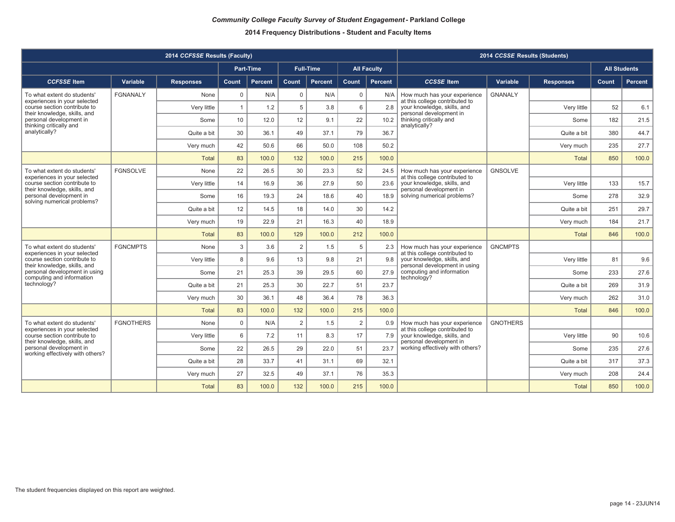|                                                                                             |                  | 2014 CCFSSE Results (Faculty) | 2014 CCSSE Results (Students) |                  |                |                  |                |                    |                                                                |                 |                  |                     |                |
|---------------------------------------------------------------------------------------------|------------------|-------------------------------|-------------------------------|------------------|----------------|------------------|----------------|--------------------|----------------------------------------------------------------|-----------------|------------------|---------------------|----------------|
|                                                                                             |                  |                               |                               | <b>Part-Time</b> |                | <b>Full-Time</b> |                | <b>All Faculty</b> |                                                                |                 |                  | <b>All Students</b> |                |
| <b>CCFSSE Item</b>                                                                          | Variable         | <b>Responses</b>              | <b>Count</b>                  | <b>Percent</b>   | Count          | Percent          | <b>Count</b>   | <b>Percent</b>     | <b>CCSSE</b> Item                                              | Variable        | <b>Responses</b> | Count               | <b>Percent</b> |
| To what extent do students'<br>experiences in your selected                                 | <b>FGNANALY</b>  | None                          | $\mathbf 0$                   | N/A              | $\mathbf 0$    | N/A              | $\mathbf 0$    | N/A                | How much has your experience<br>at this college contributed to | <b>GNANALY</b>  |                  |                     |                |
| course section contribute to<br>their knowledge, skills, and                                |                  | Very little                   | $\mathbf{1}$                  | 1.2              | 5              | 3.8              | 6              | 2.8                | your knowledge, skills, and<br>personal development in         |                 | Very little      | 52                  | 6.1            |
| personal development in<br>thinking critically and                                          |                  | Some                          | 10                            | 12.0             | 12             | 9.1              | 22             | 10.2               | thinking critically and<br>analytically?                       |                 | Some             | 182                 | 21.5           |
| analytically?                                                                               |                  | Quite a bit                   | 30                            | 36.1             | 49             | 37.1             | 79             | 36.7               |                                                                |                 | Quite a bit      | 380                 | 44.7           |
|                                                                                             |                  | Very much                     | 42                            | 50.6             | 66             | 50.0             | 108            | 50.2               |                                                                |                 | Very much        | 235                 | 27.7           |
|                                                                                             |                  | <b>Total</b>                  | 83                            | 100.0            | 132            | 100.0            | 215            | 100.0              |                                                                |                 | <b>Total</b>     | 850                 | 100.0          |
| To what extent do students'<br>experiences in your selected                                 | <b>FGNSOLVE</b>  | None                          | 22                            | 26.5             | 30             | 23.3             | 52             | 24.5               | How much has your experience<br>at this college contributed to | <b>GNSOLVE</b>  |                  |                     |                |
| course section contribute to<br>their knowledge, skills, and                                |                  | Very little                   | 14                            | 16.9             | 36             | 27.9             | 50             | 23.6               | your knowledge, skills, and<br>personal development in         |                 | Very little      | 133                 | 15.7           |
| personal development in<br>solving numerical problems?                                      |                  | Some                          | 16                            | 19.3             | 24             | 18.6             | 40             | 18.9               | solving numerical problems?                                    |                 | Some             | 278                 | 32.9           |
|                                                                                             |                  | Quite a bit                   | 12                            | 14.5             | 18             | 14.0             | 30             | 14.2               |                                                                |                 | Quite a bit      | 251                 | 29.7           |
|                                                                                             |                  | Very much                     | 19                            | 22.9             | 21             | 16.3             | 40             | 18.9               |                                                                |                 | Very much        | 184                 | 21.7           |
|                                                                                             |                  | <b>Total</b>                  | 83                            | 100.0            | 129            | 100.0            | 212            | 100.0              |                                                                |                 | <b>Total</b>     | 846                 | 100.0          |
| To what extent do students'<br>experiences in your selected                                 | <b>FGNCMPTS</b>  | None                          | 3                             | 3.6              | 2              | 1.5              | 5              | 2.3                | How much has your experience<br>at this college contributed to | <b>GNCMPTS</b>  |                  |                     |                |
| course section contribute to<br>their knowledge, skills, and                                |                  | Very little                   | 8                             | 9.6              | 13             | 9.8              | 21             | 9.8                | your knowledge, skills, and<br>personal development in using   |                 | Very little      | 81                  | 9.6            |
| personal development in using<br>computing and information                                  |                  | Some                          | 21                            | 25.3             | 39             | 29.5             | 60             | 27.9               | computing and information<br>technology?                       |                 | Some             | 233                 | 27.6           |
| technology?                                                                                 |                  | Quite a bit                   | 21                            | 25.3             | 30             | 22.7             | 51             | 23.7               |                                                                |                 | Quite a bit      | 269                 | 31.9           |
|                                                                                             |                  | Very much                     | 30                            | 36.1             | 48             | 36.4             | 78             | 36.3               |                                                                |                 | Very much        | 262                 | 31.0           |
|                                                                                             |                  | <b>Total</b>                  | 83                            | 100.0            | 132            | 100.0            | 215            | 100.0              |                                                                |                 | <b>Total</b>     | 846                 | 100.0          |
| To what extent do students'<br>experiences in your selected                                 | <b>FGNOTHERS</b> | None                          | $\mathbf 0$                   | N/A              | $\overline{2}$ | 1.5              | $\overline{2}$ | 0.9                | How much has your experience<br>at this college contributed to | <b>GNOTHERS</b> |                  |                     |                |
| course section contribute to                                                                |                  | Very little                   | 6                             | 7.2              | 11             | 8.3              | 17             | 7.9                | your knowledge, skills, and<br>personal development in         |                 | Very little      | 90                  | 10.6           |
| their knowledge, skills, and<br>personal development in<br>working effectively with others? |                  | Some                          | 22                            | 26.5             | 29             | 22.0             | 51             | 23.7               | working effectively with others?                               |                 | Some             | 235                 | 27.6           |
|                                                                                             |                  | Quite a bit                   | 28                            | 33.7             | 41             | 31.1             | 69             | 32.1               |                                                                |                 | Quite a bit      | 317                 | 37.3           |
|                                                                                             |                  | Very much                     | 27                            | 32.5             | 49             | 37.1             | 76             | 35.3               |                                                                |                 | Very much        | 208                 | 24.4           |
| <b>Total</b>                                                                                |                  |                               | 83                            | 100.0            | 132            | 100.0            | 215            | 100.0              |                                                                |                 | Total            | 850                 | 100.0          |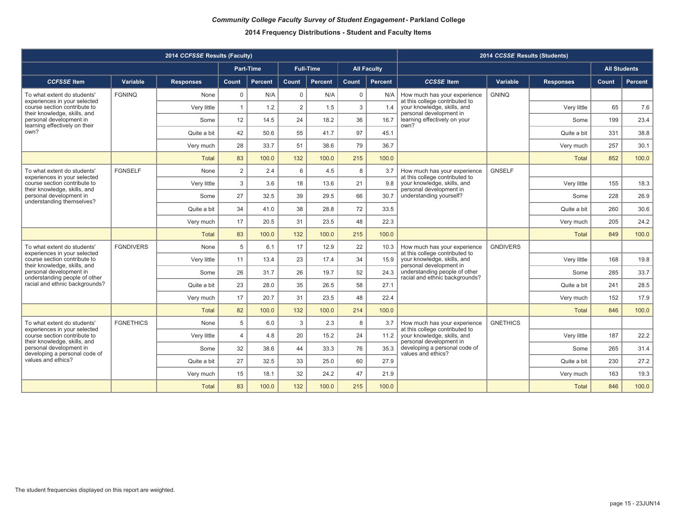|                                                              |                  | 2014 CCFSSE Results (Faculty) | 2014 CCSSE Results (Students)          |                                                     |                |                  |             |                    |                                                                 |                 |                  |                     |                |
|--------------------------------------------------------------|------------------|-------------------------------|----------------------------------------|-----------------------------------------------------|----------------|------------------|-------------|--------------------|-----------------------------------------------------------------|-----------------|------------------|---------------------|----------------|
|                                                              |                  |                               |                                        | Part-Time                                           |                | <b>Full-Time</b> |             | <b>All Faculty</b> |                                                                 |                 |                  | <b>All Students</b> |                |
| <b>CCFSSE</b> Item                                           | Variable         | <b>Responses</b>              | Count                                  | Percent                                             | Count          | Percent          | Count       | <b>Percent</b>     | <b>CCSSE</b> Item                                               | Variable        | <b>Responses</b> | Count               | <b>Percent</b> |
| To what extent do students'<br>experiences in your selected  | <b>FGNINQ</b>    | None                          | $\mathbf 0$                            | N/A                                                 | $\Omega$       | N/A              | $\mathbf 0$ | N/A                | How much has your experience<br>at this college contributed to  | <b>GNINQ</b>    |                  |                     |                |
| course section contribute to<br>their knowledge, skills, and |                  | Very little                   | $\mathbf{1}$                           | 1.2                                                 | $\overline{2}$ | 1.5              | 3           | 1.4                | your knowledge, skills, and<br>personal development in          |                 | Very little      | 65                  | 7.6            |
| personal development in<br>learning effectively on their     |                  | Some                          | 12                                     | 14.5                                                | 24             | 18.2             | 36          | 16.7               | learning effectively on your<br>own?                            |                 | Some             | 199                 | 23.4           |
| own?                                                         |                  | Quite a bit                   | 42                                     | 50.6                                                | 55             | 41.7             | 97          | 45.1               |                                                                 |                 | Quite a bit      | 331                 | 38.8           |
|                                                              |                  | Very much                     | 28                                     | 33.7                                                | 51             | 38.6             | 79          | 36.7               |                                                                 |                 | Very much        | 257                 | 30.1           |
|                                                              |                  | <b>Total</b>                  | 83                                     | 100.0                                               | 132            | 100.0            | 215         | 100.0              |                                                                 |                 | <b>Total</b>     | 852                 | 100.0          |
| To what extent do students'<br>experiences in your selected  | <b>FGNSELF</b>   | None                          | $\overline{2}$                         | 2.4                                                 | 6              | 4.5              | 8           | 3.7                | How much has your experience<br>at this college contributed to  | <b>GNSELF</b>   |                  |                     |                |
| course section contribute to<br>their knowledge, skills, and |                  | Very little                   | 3                                      | 3.6                                                 | 18             | 13.6             | 21          | 9.8                | your knowledge, skills, and<br>personal development in          |                 | Very little      | 155                 | 18.3           |
| personal development in<br>understanding themselves?         |                  | Some                          | 27                                     | 32.5                                                | 39             | 29.5             | 66          | 30.7               | understanding yourself?                                         |                 | Some             | 228                 | 26.9           |
|                                                              | Quite a bit      | 34                            | 41.0                                   | 38                                                  | 28.8           | 72               | 33.5        |                    |                                                                 | Quite a bit     | 260              | 30.6                |                |
|                                                              |                  | Very much                     | 17                                     | 20.5                                                | 31             | 23.5             | 48          | 22.3               |                                                                 |                 | Very much        | 205                 | 24.2           |
|                                                              |                  | <b>Total</b>                  | 83                                     | 100.0                                               | 132            | 100.0            | 215         | 100.0              |                                                                 |                 | <b>Total</b>     | 849                 | 100.0          |
| To what extent do students'<br>experiences in your selected  | <b>FGNDIVERS</b> | None                          | 5                                      | 6.1                                                 | 17             | 12.9             | 22          | 10.3               | How much has your experience<br>at this college contributed to  | <b>GNDIVERS</b> |                  |                     |                |
| course section contribute to<br>their knowledge, skills, and |                  | Very little                   | 11                                     | 13.4                                                | 23             | 17.4             | 34          | 15.9               | your knowledge, skills, and<br>personal development in          |                 | Very little      | 168                 | 19.8           |
| personal development in<br>understanding people of other     |                  | Some                          | 26                                     | 31.7                                                | 26             | 19.7             | 52          | 24.3               | understanding people of other<br>racial and ethnic backgrounds? |                 | Some             | 285                 | 33.7           |
| racial and ethnic backgrounds?                               |                  | Quite a bit                   | 23                                     | 28.0                                                | 35             | 26.5             | 58          | 27.1               |                                                                 |                 | Quite a bit      | 241                 | 28.5           |
|                                                              |                  | Very much                     | 17                                     | 20.7                                                | 31             | 23.5             | 48          | 22.4               |                                                                 |                 | Very much        | 152                 | 17.9           |
|                                                              |                  | <b>Total</b>                  | 82                                     | 100.0                                               | 132            | 100.0            | 214         | 100.0              |                                                                 |                 | <b>Total</b>     | 846                 | 100.0          |
| To what extent do students'<br>experiences in your selected  | <b>FGNETHICS</b> | None                          | 5                                      | 6.0                                                 | 3              | 2.3              | 8           | 3.7                | How much has your experience<br>at this college contributed to  | <b>GNETHICS</b> |                  |                     |                |
| course section contribute to                                 |                  | Very little                   | $\overline{4}$                         | 4.8                                                 | 20             | 15.2             | 24          | 11.2               | your knowledge, skills, and<br>personal development in          |                 | Very little      | 187                 | 22.2           |
| their knowledge, skills, and<br>personal development in      |                  | Some                          | 32<br>44<br>76<br>38.6<br>33.3<br>35.3 | developing a personal code of<br>values and ethics? |                | Some             | 265         | 31.4               |                                                                 |                 |                  |                     |                |
| developing a personal code of<br>values and ethics?          |                  | Quite a bit                   | 27                                     | 32.5                                                | 33             | 25.0             | 60          | 27.9               |                                                                 |                 | Quite a bit      | 230                 | 27.2           |
|                                                              |                  | Very much                     | 15                                     | 18.1                                                | 32             | 24.2             | 47          | 21.9               |                                                                 |                 | Very much        | 163                 | 19.3           |
|                                                              |                  | <b>Total</b>                  | 83                                     | 100.0                                               | 132            | 100.0            | 215         | 100.0              |                                                                 |                 | <b>Total</b>     | 846                 | 100.0          |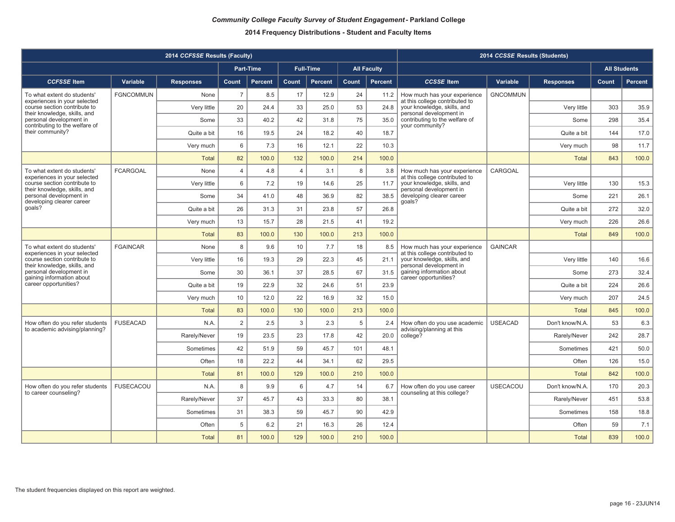|                                                                                           | 2014 CCSSE Results (Students) |                  |                |                  |                |                  |                 |                    |                                                                              |                 |                  |       |                     |
|-------------------------------------------------------------------------------------------|-------------------------------|------------------|----------------|------------------|----------------|------------------|-----------------|--------------------|------------------------------------------------------------------------------|-----------------|------------------|-------|---------------------|
|                                                                                           |                               |                  |                | <b>Part-Time</b> |                | <b>Full-Time</b> |                 | <b>All Faculty</b> |                                                                              |                 |                  |       | <b>All Students</b> |
| <b>CCFSSE</b> Item                                                                        | Variable                      | <b>Responses</b> | Count          | <b>Percent</b>   | Count          | <b>Percent</b>   | Count           | <b>Percent</b>     | <b>CCSSE</b> Item                                                            | Variable        | <b>Responses</b> | Count | <b>Percent</b>      |
| To what extent do students'                                                               | <b>FGNCOMMUN</b>              | None             | $\overline{7}$ | 8.5              | 17             | 12.9             | 24              | 11.2               | How much has your experience                                                 | <b>GNCOMMUN</b> |                  |       |                     |
| experiences in your selected<br>course section contribute to                              |                               | Very little      | 20             | 24.4             | 33             | 25.0             | 53              | 24.8               | at this college contributed to<br>your knowledge, skills, and                |                 | Very little      | 303   | 35.9                |
| their knowledge, skills, and<br>personal development in<br>contributing to the welfare of |                               | Some             | 33             | 40.2             | 42             | 31.8             | 75              | 35.0               | personal development in<br>contributing to the welfare of<br>your community? |                 | Some             | 298   | 35.4                |
| their community?                                                                          |                               | Quite a bit      | 16             | 19.5             | 24             | 18.2             | 40              | 18.7               |                                                                              |                 | Quite a bit      | 144   | 17.0                |
|                                                                                           |                               | Very much        | 6              | 7.3              | 16             | 12.1             | 22              | 10.3               |                                                                              |                 | Very much        | 98    | 11.7                |
|                                                                                           |                               | <b>Total</b>     | 82             | 100.0            | 132            | 100.0            | 214             | 100.0              |                                                                              |                 | <b>Total</b>     | 843   | 100.0               |
| To what extent do students'<br>experiences in your selected                               | <b>FCARGOAL</b>               | None             | 4              | 4.8              | $\overline{4}$ | 3.1              | 8               | 3.8                | How much has your experience<br>at this college contributed to               | CARGOAL         |                  |       |                     |
| course section contribute to<br>their knowledge, skills, and                              |                               | Very little      | 6              | 7.2              | 19             | 14.6             | 25              | 11.7               | your knowledge, skills, and<br>personal development in                       |                 | Verv little      | 130   | 15.3                |
| personal development in<br>developing clearer career                                      |                               | Some             | 34             | 41.0             | 48             | 36.9             | 82              | 38.5               | developing clearer career<br>qoals?                                          |                 | Some             | 221   | 26.1                |
| goals?                                                                                    |                               | Quite a bit      | 26             | 31.3             | 31             | 23.8             | 57              | 26.8               |                                                                              |                 | Quite a bit      | 272   | 32.0                |
|                                                                                           |                               | Very much        | 13             | 15.7             | 28             | 21.5             | 41              | 19.2               |                                                                              |                 | Very much        | 226   | 26.6                |
|                                                                                           |                               | <b>Total</b>     | 83             | 100.0            | 130            | 100.0            | 213             | 100.0              |                                                                              |                 | Total            | 849   | 100.0               |
| To what extent do students'<br>experiences in your selected                               | <b>FGAINCAR</b>               | None             | 8              | 9.6              | 10             | 7.7              | 18              | 8.5                | How much has your experience<br>at this college contributed to               | <b>GAINCAR</b>  |                  |       |                     |
| course section contribute to<br>their knowledge, skills, and                              |                               | Very little      | 16             | 19.3             | 29             | 22.3             | 45              | 21.1               | your knowledge, skills, and<br>personal development in                       |                 | Very little      | 140   | 16.6                |
| personal development in<br>gaining information about                                      |                               | Some             | 30             | 36.1             | 37             | 28.5             | 67              | 31.5               | gaining information about<br>career opportunities?                           |                 | Some             | 273   | 32.4                |
| career opportunities?                                                                     |                               | Quite a bit      | 19             | 22.9             | 32             | 24.6             | 51              | 23.9               |                                                                              |                 | Quite a bit      | 224   | 26.6                |
|                                                                                           |                               | Very much        | 10             | 12.0             | 22             | 16.9             | 32              | 15.0               |                                                                              |                 | Very much        | 207   | 24.5                |
|                                                                                           |                               | <b>Total</b>     | 83             | 100.0            | 130            | 100.0            | 213             | 100.0              |                                                                              |                 | <b>Total</b>     | 845   | 100.0               |
| How often do you refer students<br>to academic advising/planning?                         | <b>FUSEACAD</b>               | N.A.             | $\overline{2}$ | 2.5              | 3              | 2.3              | $5\phantom{.0}$ | 2.4                | How often do you use academic<br>advising/planning at this                   | <b>USEACAD</b>  | Don't know/N.A   | 53    | 6.3                 |
|                                                                                           |                               | Rarely/Never     | 19             | 23.5             | 23             | 17.8             | 42              | 20.0               | college?                                                                     |                 | Rarely/Never     | 242   | 28.7                |
|                                                                                           |                               | Sometimes        | 42             | 51.9             | 59             | 45.7             | 101             | 48.1               |                                                                              |                 | Sometimes        | 421   | 50.0                |
|                                                                                           |                               | Often            | 18             | 22.2             | 44             | 34.1             | 62              | 29.5               |                                                                              |                 | Often            | 126   | 15.0                |
|                                                                                           |                               | <b>Total</b>     | 81             | 100.0            | 129            | 100.0            | 210             | 100.0              |                                                                              |                 | <b>Total</b>     | 842   | 100.0               |
| How often do you refer students<br>to career counseling?                                  | <b>FUSECACOU</b>              | N.A.             | 8              | 9.9              | 6              | 4.7              | 14              | 6.7                | How often do you use career<br>counseling at this college?                   | <b>USECACOU</b> | Don't know/N.A   | 170   | 20.3                |
|                                                                                           |                               | Rarely/Never     | 37             | 45.7             | 43             | 33.3             | 80              | 38.1               |                                                                              |                 | Rarely/Never     | 451   | 53.8                |
|                                                                                           |                               | Sometimes        | 31             | 38.3             | 59             | 45.7             | 90              | 42.9               |                                                                              |                 | Sometimes        | 158   | 18.8                |
|                                                                                           |                               | Often            | 5              | 6.2              | 21             | 16.3             | 26              | 12.4               |                                                                              |                 | Often            | 59    | 7.1                 |
|                                                                                           |                               | <b>Total</b>     | 81             | 100.0            | 129            | 100.0            | 210             | 100.0              |                                                                              |                 | <b>Total</b>     | 839   | 100.0               |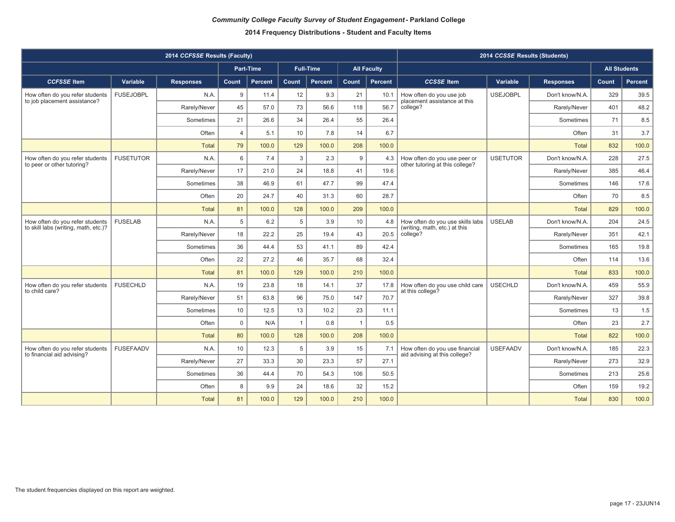|                                                               |                  | 2014 CCFSSE Results (Faculty) | 2014 CCSSE Results (Students) |                  |                |                  |                |                    |                                                                                               |                 |                  |                     |         |
|---------------------------------------------------------------|------------------|-------------------------------|-------------------------------|------------------|----------------|------------------|----------------|--------------------|-----------------------------------------------------------------------------------------------|-----------------|------------------|---------------------|---------|
|                                                               |                  |                               |                               | <b>Part-Time</b> |                | <b>Full-Time</b> |                | <b>All Faculty</b> |                                                                                               |                 |                  | <b>All Students</b> |         |
| <b>CCFSSE</b> Item                                            | Variable         | <b>Responses</b>              | Count                         | <b>Percent</b>   | Count          | <b>Percent</b>   | Count          | Percent            | <b>CCSSE</b> Item                                                                             | Variable        | <b>Responses</b> | Count               | Percent |
| How often do you refer students                               | <b>FUSEJOBPL</b> | N.A.                          | 9                             | 11.4             | 12             | 9.3              | 21             | 10.1               | How often do you use job                                                                      | <b>USEJOBPL</b> | Don't know/N.A.  | 329                 | 39.5    |
| to job placement assistance?                                  |                  | Rarely/Never                  | 45                            | 57.0             | 73             | 56.6             | 118            | 56.7               | placement assistance at this<br>college?                                                      |                 | Rarely/Never     | 401                 | 48.2    |
|                                                               |                  | Sometimes                     | 21                            | 26.6             | 34             | 26.4             | 55             | 26.4               |                                                                                               |                 | Sometimes        | 71                  | 8.5     |
|                                                               |                  | Often                         | $\overline{4}$                | 5.1              | 10             | 7.8              | 14             | 6.7                |                                                                                               |                 | Often            | 31                  | 3.7     |
|                                                               |                  | <b>Total</b>                  | 79                            | 100.0            | 129            | 100.0            | 208            | 100.0              |                                                                                               |                 | <b>Total</b>     | 832                 | 100.0   |
| How often do you refer students<br>to peer or other tutoring? | <b>FUSETUTOR</b> | N.A.                          | 6                             | 7.4              | 3              | 2.3              | 9              | 4.3                | How often do you use peer or<br>other tutoring at this college?                               | <b>USETUTOR</b> | Don't know/N.A.  | 228                 | 27.5    |
|                                                               |                  | Rarely/Never                  | 17                            | 21.0             | 24             | 18.8             | 41             | 19.6               |                                                                                               |                 | Rarely/Never     | 385                 | 46.4    |
|                                                               |                  | Sometimes                     | 38                            | 46.9             | 61             | 47.7             | 99             | 47.4               |                                                                                               |                 | Sometimes        | 146                 | 17.6    |
|                                                               |                  | Often                         | 20                            | 24.7             | 40             | 31.3             | 60             | 28.7               |                                                                                               |                 | Often            | 70                  | 8.5     |
|                                                               |                  | <b>Total</b>                  | 81                            | 100.0            | 128            | 100.0            | 209            | 100.0              |                                                                                               |                 | <b>Total</b>     | 829                 | 100.0   |
| How often do you refer students                               | <b>FUSELAB</b>   | N.A                           | 5                             | 6.2              | 5              | 3.9              | 10             | 4.8                | How often do you use skills labs<br>(writing, math, etc.) at this<br>20.5<br>college?<br>42.4 | <b>USELAB</b>   | Don't know/N.A.  | 204                 | 24.5    |
| to skill labs (writing, math, etc.)?                          |                  | Rarely/Never                  | 18                            | 22.2             | 25             | 19.4             | 43             |                    |                                                                                               |                 | Rarely/Never     | 351                 | 42.1    |
|                                                               |                  | Sometimes                     | 36                            | 44.4             | 53             | 41.1             | 89             |                    |                                                                                               |                 | Sometimes        | 165                 | 19.8    |
|                                                               |                  | Often                         | 22                            | 27.2             | 46             | 35.7             | 68             | 32.4               |                                                                                               |                 | Often            | 114                 | 13.6    |
|                                                               |                  | <b>Total</b>                  | 81                            | 100.0            | 129            | 100.0            | 210            | 100.0              |                                                                                               |                 | <b>Total</b>     | 833                 | 100.0   |
| How often do you refer students                               | <b>FUSECHLD</b>  | N.A                           | 19                            | 23.8             | 18             | 14.1             | 37             | 17.8               | How often do you use child care                                                               | <b>USECHLD</b>  | Don't know/N.A.  | 459                 | 55.9    |
| to child care?                                                |                  | Rarely/Never                  | 51                            | 63.8             | 96             | 75.0             | 147            | 70.7               | at this college?                                                                              |                 | Rarely/Never     | 327                 | 39.8    |
|                                                               |                  | Sometimes                     | 10                            | 12.5             | 13             | 10.2             | 23             | 11.1               |                                                                                               |                 | Sometimes        | 13                  | 1.5     |
|                                                               |                  | Often                         | $\mathbf 0$                   | N/A              | $\overline{1}$ | 0.8              | $\overline{1}$ | 0.5                |                                                                                               |                 | Often            | 23                  | 2.7     |
|                                                               |                  | <b>Total</b>                  | 80                            | 100.0            | 128            | 100.0            | 208            | 100.0              |                                                                                               |                 | <b>Total</b>     | 822                 | 100.0   |
| How often do you refer students                               | <b>FUSEFAADV</b> | N.A                           | 10                            | 12.3             | 5              | 3.9              | 15             | 7.1                | How often do you use financial                                                                | <b>USEFAADV</b> | Don't know/N.A.  | 185                 | 22.3    |
| to financial aid advising?                                    |                  | Rarely/Never                  | 27                            | 33.3             | 30             | 23.3             | 57             | 27.1               | aid advising at this college?                                                                 |                 | Rarely/Never     | 273                 | 32.9    |
|                                                               |                  | Sometimes                     | 36                            | 44.4             | 70             | 54.3             | 106            | 50.5               |                                                                                               |                 | Sometimes        | 213                 | 25.6    |
|                                                               |                  | Often                         | 8                             | 9.9              | 24             | 18.6             | 32             | 15.2               |                                                                                               |                 | Often            | 159                 | 19.2    |
|                                                               |                  | <b>Total</b>                  | 81                            | 100.0            | 129            | 100.0            | 210            | 100.0              |                                                                                               |                 | <b>Total</b>     | 830                 | 100.0   |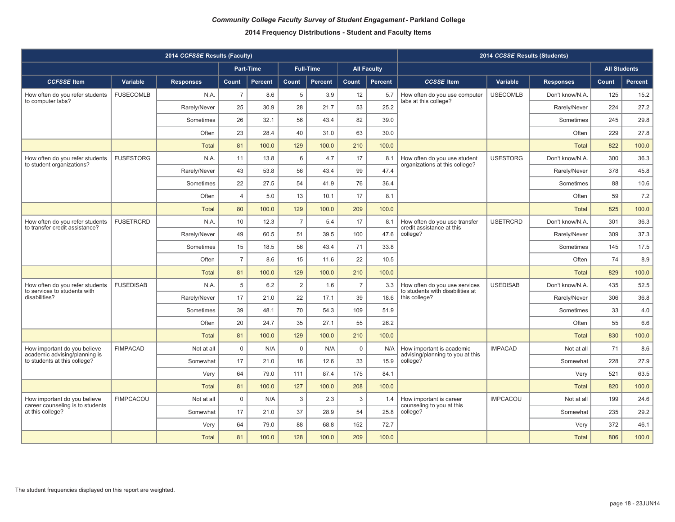|                                                                   |                  | 2014 CCFSSE Results (Faculty) | 2014 CCSSE Results (Students) |                |                |                  |                |                    |                                                                   |                 |                  |       |                     |
|-------------------------------------------------------------------|------------------|-------------------------------|-------------------------------|----------------|----------------|------------------|----------------|--------------------|-------------------------------------------------------------------|-----------------|------------------|-------|---------------------|
|                                                                   |                  |                               |                               | Part-Time      |                | <b>Full-Time</b> |                | <b>All Faculty</b> |                                                                   |                 |                  |       | <b>All Students</b> |
| <b>CCFSSE</b> Item                                                | Variable         | <b>Responses</b>              | Count                         | <b>Percent</b> | Count          | <b>Percent</b>   | Count          | Percent            | <b>CCSSE</b> Item                                                 | Variable        | <b>Responses</b> | Count | Percent             |
| How often do you refer students                                   | <b>FUSECOMLB</b> | N.A.                          | $\overline{7}$                | 8.6            | 5              | 3.9              | 12             | 5.7                | How often do you use computer                                     | <b>USECOMLB</b> | Don't know/N.A.  | 125   | 15.2                |
| to computer labs?                                                 |                  | Rarely/Never                  | 25                            | 30.9           | 28             | 21.7             | 53             | 25.2               | labs at this college?                                             |                 | Rarely/Never     | 224   | 27.2                |
|                                                                   |                  | Sometimes                     | 26                            | 32.1           | 56             | 43.4             | 82             | 39.0               |                                                                   |                 | Sometimes        | 245   | 29.8                |
|                                                                   |                  | Often                         | 23                            | 28.4           | 40             | 31.0             | 63             | 30.0               |                                                                   |                 | Often            | 229   | 27.8                |
|                                                                   |                  | <b>Total</b>                  | 81                            | 100.0          | 129            | 100.0            | 210            | 100.0              |                                                                   |                 | <b>Total</b>     | 822   | 100.0               |
| How often do you refer students<br>to student organizations?      | <b>FUSESTORG</b> | N.A.                          | 11                            | 13.8           | 6              | 4.7              | 17             | 8.1                | How often do you use student<br>organizations at this college?    | <b>USESTORG</b> | Don't know/N.A.  | 300   | 36.3                |
|                                                                   |                  | Rarely/Never                  | 43                            | 53.8           | 56             | 43.4             | 99             | 47.4               |                                                                   |                 | Rarely/Never     | 378   | 45.8                |
|                                                                   |                  | Sometimes                     | 22                            | 27.5           | 54             | 41.9             | 76             | 36.4               |                                                                   |                 | Sometimes        | 88    | 10.6                |
|                                                                   |                  | Often                         | $\overline{4}$                | 5.0            | 13             | 10.1             | 17             | 8.1                |                                                                   |                 | Often            | 59    | 7.2                 |
|                                                                   |                  | Total                         | 80                            | 100.0          | 129            | 100.0            | 209            | 100.0              |                                                                   |                 | <b>Total</b>     | 825   | 100.0               |
| How often do you refer students<br>to transfer credit assistance? | <b>FUSETRCRD</b> | N.A.                          | 10                            | 12.3           | $\overline{7}$ | 5.4              | 17             | 8.1                | How often do you use transfer<br>credit assistance at this        | <b>USETRCRD</b> | Don't know/N.A.  | 301   | 36.3                |
|                                                                   |                  | Rarely/Never                  | 49                            | 60.5           | 51             | 39.5             | 100            | 47.6               | college?                                                          |                 | Rarely/Never     | 309   | 37.3                |
|                                                                   |                  | Sometimes                     | 15                            | 18.5           | 56             | 43.4             | 71             | 33.8               |                                                                   |                 | Sometimes        | 145   | 17.5                |
|                                                                   |                  | Often                         | $\overline{7}$                | 8.6            | 15             | 11.6             | 22             | 10.5               |                                                                   |                 | Often            | 74    | 8.9                 |
|                                                                   |                  | <b>Total</b>                  | 81                            | 100.0          | 129            | 100.0            | 210            | 100.0              |                                                                   |                 | <b>Total</b>     | 829   | 100.0               |
| How often do you refer students<br>to services to students with   | <b>FUSEDISAB</b> | N.A.                          | 5                             | 6.2            | 2              | 1.6              | $\overline{7}$ | 3.3                | How often do you use services<br>to students with disabilities at | <b>USEDISAB</b> | Don't know/N.A.  | 435   | 52.5                |
| disabilities?                                                     |                  | Rarely/Never                  | 17                            | 21.0           | 22             | 17.1             | 39             | 18.6               | this college?                                                     |                 | Rarely/Never     | 306   | 36.8                |
|                                                                   |                  | Sometimes                     | 39                            | 48.1           | 70             | 54.3             | 109            | 51.9               |                                                                   |                 | Sometimes        | 33    | 4.0                 |
|                                                                   |                  | Often                         | 20                            | 24.7           | 35             | 27.1             | 55             | 26.2               |                                                                   |                 | Often            | 55    | 6.6                 |
|                                                                   |                  | <b>Total</b>                  | 81                            | 100.0          | 129            | 100.0            | 210            | 100.0              |                                                                   |                 | <b>Total</b>     | 830   | 100.0               |
| How important do you believe<br>academic advising/planning is     | <b>FIMPACAD</b>  | Not at all                    | $\mathbf 0$                   | N/A            | $\mathbf 0$    | N/A              | $\mathbf 0$    | N/A                | How important is academic<br>advising/planning to you at this     | <b>IMPACAD</b>  | Not at all       | 71    | 8.6                 |
| to students at this college?                                      |                  | Somewhat                      | 17                            | 21.0           | 16             | 12.6             | 33             | 15.9               | college?                                                          |                 | Somewhat         | 228   | 27.9                |
|                                                                   |                  | Very                          | 64                            | 79.0           | 111            | 87.4             | 175            | 84.1               |                                                                   |                 | Very             | 521   | 63.5                |
|                                                                   |                  | <b>Total</b>                  | 81                            | 100.0          | 127            | 100.0            | 208            | 100.0              |                                                                   |                 | <b>Total</b>     | 820   | 100.0               |
| How important do you believe<br>career counseling is to students  | <b>FIMPCACOU</b> | Not at all                    | $\mathbf 0$                   | N/A            | 3              | 2.3              | 3              | 1.4                | How important is career<br>counseling to you at this              | <b>IMPCACOU</b> | Not at all       | 199   | 24.6                |
| at this college?                                                  |                  | Somewhat                      | 17                            | 21.0           | 37             | 28.9             | 54             | 25.8               | college?                                                          |                 | Somewhat         | 235   | 29.2                |
|                                                                   |                  | Very                          | 64                            | 79.0           | 88             | 68.8             | 152            | 72.7               |                                                                   |                 | Very             | 372   | 46.1                |
|                                                                   |                  | Total                         | 81                            | 100.0          | 128            | 100.0            | 209            | 100.0              |                                                                   |                 | Total            | 806   | 100.0               |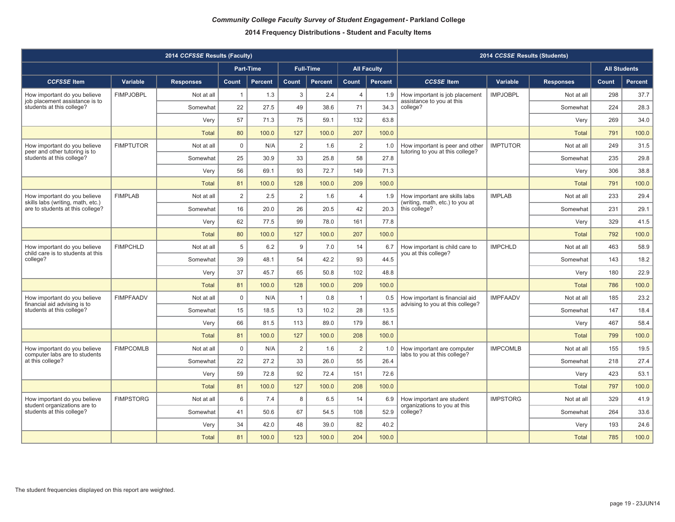|                                                                   | 2014 CCSSE Results (Students) |                  |                |           |                |                  |                |                    |                                                                     |                 |                  |       |                     |
|-------------------------------------------------------------------|-------------------------------|------------------|----------------|-----------|----------------|------------------|----------------|--------------------|---------------------------------------------------------------------|-----------------|------------------|-------|---------------------|
|                                                                   |                               |                  |                | Part-Time |                | <b>Full-Time</b> |                | <b>All Faculty</b> |                                                                     |                 |                  |       | <b>All Students</b> |
| <b>CCFSSE</b> Item                                                | Variable                      | <b>Responses</b> | Count          | Percent   | Count          | <b>Percent</b>   | Count          | Percent            | <b>CCSSE</b> Item                                                   | Variable        | <b>Responses</b> | Count | Percent             |
| How important do you believe                                      | <b>FIMPJOBPL</b>              | Not at all       | $\mathbf{1}$   | 1.3       | 3              | 2.4              | $\overline{4}$ | 1.9                | How important is job placement                                      | <b>IMPJOBPL</b> | Not at all       | 298   | 37.7                |
| job placement assistance is to<br>students at this college?       |                               | Somewhat         | 22             | 27.5      | 49             | 38.6             | 71             | 34.3               | assistance to you at this<br>college?                               |                 | Somewhat         | 224   | 28.3                |
|                                                                   |                               | Very             | 57             | 71.3      | 75             | 59.1             | 132            | 63.8               |                                                                     |                 | Verv             | 269   | 34.0                |
|                                                                   |                               | <b>Total</b>     | 80             | 100.0     | 127            | 100.0            | 207            | 100.0              |                                                                     |                 | <b>Total</b>     | 791   | 100.0               |
| How important do you believe<br>peer and other tutoring is to     | <b>FIMPTUTOR</b>              | Not at all       | $\mathbf 0$    | N/A       | $\overline{2}$ | 1.6              | $\overline{2}$ | 1.0                | How important is peer and other<br>tutoring to you at this college? | <b>IMPTUTOR</b> | Not at all       | 249   | 31.5                |
| students at this college?                                         |                               | Somewhat         | 25             | 30.9      | 33             | 25.8             | 58             | 27.8               |                                                                     |                 | Somewhat         | 235   | 29.8                |
|                                                                   |                               | Very             | 56             | 69.1      | 93             | 72.7             | 149            | 71.3               |                                                                     |                 | Very             | 306   | 38.8                |
|                                                                   |                               | Total            | 81             | 100.0     | 128            | 100.0            | 209            | 100.0              |                                                                     |                 | Total            | 791   | 100.0               |
| How important do you believe<br>skills labs (writing, math, etc.) | <b>FIMPLAB</b>                | Not at all       | $\overline{2}$ | 2.5       | $\overline{2}$ | 1.6              | $\overline{4}$ | 1.9                | How important are skills labs<br>(writing, math, etc.) to you at    | <b>IMPLAB</b>   | Not at all       | 233   | 29.4                |
| are to students at this college?                                  |                               | Somewhat         | 16             | 20.0      | 26             | 20.5             | 42             | 20.3               | this college?                                                       |                 | Somewhat         | 231   | 29.1                |
|                                                                   |                               | Very             | 62             | 77.5      | 99             | 78.0             | 161            | 77.8               |                                                                     |                 | Very             | 329   | 41.5                |
|                                                                   |                               | <b>Total</b>     | 80             | 100.0     | 127            | 100.0            | 207            | 100.0              |                                                                     |                 | <b>Total</b>     | 792   | 100.0               |
| How important do you believe<br>child care is to students at this | <b>FIMPCHLD</b>               | Not at all       | 5              | 6.2       | 9              | 7.0              | 14             | 6.7                | How important is child care to<br>you at this college?              | <b>IMPCHLD</b>  | Not at all       | 463   | 58.9                |
| college?                                                          |                               | Somewhat         | 39             | 48.1      | 54             | 42.2             | 93             | 44.5               |                                                                     |                 | Somewhat         | 143   | 18.2                |
|                                                                   |                               | Very             | 37             | 45.7      | 65             | 50.8             | 102            | 48.8               |                                                                     |                 | Very             | 180   | 22.9                |
|                                                                   |                               | <b>Total</b>     | 81             | 100.0     | 128            | 100.0            | 209            | 100.0              |                                                                     |                 | <b>Total</b>     | 786   | 100.0               |
| How important do you believe<br>financial aid advising is to      | <b>FIMPFAADV</b>              | Not at all       | $\mathbf 0$    | N/A       | $\overline{1}$ | 0.8              | $\overline{1}$ | 0.5                | How important is financial aid<br>advising to you at this college?  | <b>IMPFAADV</b> | Not at all       | 185   | 23.2                |
| students at this college?                                         |                               | Somewhat         | 15             | 18.5      | 13             | 10.2             | 28             | 13.5               |                                                                     |                 | Somewhat         | 147   | 18.4                |
|                                                                   |                               | Very             | 66             | 81.5      | 113            | 89.0             | 179            | 86.1               |                                                                     |                 | Very             | 467   | 58.4                |
|                                                                   |                               | Total            | 81             | 100.0     | 127            | 100.0            | 208            | 100.0              |                                                                     |                 | <b>Total</b>     | 799   | 100.0               |
| How important do you believe<br>computer labs are to students     | <b>FIMPCOMLB</b>              | Not at all       | $\mathbf 0$    | N/A       | $\overline{2}$ | 1.6              | 2              | 1.0                | How important are computer<br>labs to you at this college?          | <b>IMPCOMLB</b> | Not at all       | 155   | 19.5                |
| at this college?                                                  |                               | Somewhat         | 22             | 27.2      | 33             | 26.0             | 55             | 26.4               |                                                                     |                 | Somewhat         | 218   | 27.4                |
|                                                                   |                               | Very             | 59             | 72.8      | 92             | 72.4             | 151            | 72.6               |                                                                     |                 | Very             | 423   | 53.1                |
|                                                                   |                               | <b>Total</b>     | 81             | 100.0     | 127            | 100.0            | 208            | 100.0              |                                                                     |                 | <b>Total</b>     | 797   | 100.0               |
| How important do you believe<br>student organizations are to      | <b>FIMPSTORG</b>              | Not at all       | 6              | 7.4       | 8              | 6.5              | 14             | 6.9                | How important are student<br>organizations to you at this           | <b>IMPSTORG</b> | Not at all       | 329   | 41.9                |
| students at this college?                                         |                               | Somewhat         | 41             | 50.6      | 67             | 54.5             | 108            | 52.9               | college?                                                            |                 | Somewhat         | 264   | 33.6                |
|                                                                   |                               | Very             | 34             | 42.0      | 48             | 39.0             | 82             | 40.2               |                                                                     |                 | Very             | 193   | 24.6                |
|                                                                   |                               | <b>Total</b>     | 81             | 100.0     | 123            | 100.0            | 204            | 100.0              |                                                                     |                 | <b>Total</b>     | 785   | 100.0               |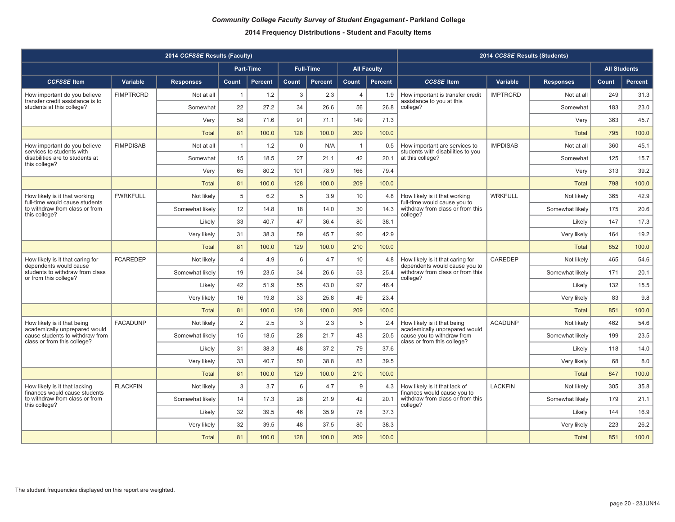|                                                                 |                  | 2014 CCFSSE Results (Faculty) | 2014 CCSSE Results (Students) |                  |             |                  |                |                    |                                                                    |                 |                  |                     |                |
|-----------------------------------------------------------------|------------------|-------------------------------|-------------------------------|------------------|-------------|------------------|----------------|--------------------|--------------------------------------------------------------------|-----------------|------------------|---------------------|----------------|
|                                                                 |                  |                               |                               | <b>Part-Time</b> |             | <b>Full-Time</b> |                | <b>All Faculty</b> |                                                                    |                 |                  | <b>All Students</b> |                |
| <b>CCFSSE</b> Item                                              | Variable         | <b>Responses</b>              | Count                         | Percent          | Count       | <b>Percent</b>   | Count          | <b>Percent</b>     | <b>CCSSE</b> Item                                                  | Variable        | <b>Responses</b> | Count               | <b>Percent</b> |
| How important do you believe                                    | <b>FIMPTRCRD</b> | Not at all                    | $\overline{1}$                | 1.2              | 3           | 2.3              | $\overline{4}$ | 1.9                | How important is transfer credit                                   | <b>IMPTRCRD</b> | Not at all       | 249                 | 31.3           |
| transfer credit assistance is to<br>students at this college?   |                  | Somewhat                      | 22                            | 27.2             | 34          | 26.6             | 56             | 26.8               | assistance to you at this<br>college?                              |                 | Somewhat         | 183                 | 23.0           |
|                                                                 |                  | Very                          | 58                            | 71.6             | 91          | 71.1             | 149            | 71.3               |                                                                    |                 | Verv             | 363                 | 45.7           |
|                                                                 |                  | <b>Total</b>                  | 81                            | 100.0            | 128         | 100.0            | 209            | 100.0              |                                                                    |                 | <b>Total</b>     | 795                 | 100.0          |
| How important do you believe<br>services to students with       | <b>FIMPDISAB</b> | Not at all                    | $\mathbf{1}$                  | 1.2              | $\mathbf 0$ | N/A              | $\overline{1}$ | 0.5                | How important are services to<br>students with disabilities to you | <b>IMPDISAB</b> | Not at all       | 360                 | 45.1           |
| disabilities are to students at<br>this college?                |                  | Somewhat                      | 15                            | 18.5             | 27          | 21.1             | 42             | 20.1               | at this college?                                                   |                 | Somewhat         | 125                 | 15.7           |
|                                                                 |                  | Very                          | 65                            | 80.2             | 101         | 78.9             | 166            | 79.4               |                                                                    |                 | Very             | 313                 | 39.2           |
|                                                                 |                  | Total                         | 81                            | 100.0            | 128         | 100.0            | 209            | 100.0              |                                                                    |                 | <b>Total</b>     | 798                 | 100.0          |
| How likely is it that working<br>full-time would cause students | <b>FWRKFULL</b>  | Not likely                    | 5                             | 6.2              | 5           | 3.9              | 10             | 4.8                | How likely is it that working<br>full-time would cause you to      | <b>WRKFULL</b>  | Not likely       | 365                 | 42.9           |
| to withdraw from class or from<br>this college?                 |                  | Somewhat likely               | 12                            | 14.8             | 18          | 14.0             | 30             | 14.3               | withdraw from class or from this<br>college?                       |                 | Somewhat likely  | 175                 | 20.6           |
|                                                                 |                  | Likely                        | 33                            | 40.7             | 47          | 36.4             | 80             | 38.1               |                                                                    |                 | Likely           | 147                 | 17.3           |
|                                                                 |                  | Very likely                   | 31                            | 38.3             | 59          | 45.7             | 90             | 42.9               |                                                                    |                 | Very likely      | 164                 | 19.2           |
|                                                                 |                  | Total                         | 81                            | 100.0            | 129         | 100.0            | 210            | 100.0              |                                                                    |                 | <b>Total</b>     | 852                 | 100.0          |
| How likely is it that caring for<br>dependents would cause      | <b>FCAREDEP</b>  | Not likely                    | $\overline{4}$                | 4.9              | 6           | 4.7              | 10             | 4.8                | How likely is it that caring for<br>dependents would cause you to  | <b>CAREDEP</b>  | Not likely       | 465                 | 54.6           |
| students to withdraw from class<br>or from this college?        |                  | Somewhat likely               | 19                            | 23.5             | 34          | 26.6             | 53             | 25.4               | withdraw from class or from this<br>college?                       |                 | Somewhat likely  | 171                 | 20.1           |
|                                                                 |                  | Likely                        | 42                            | 51.9             | 55          | 43.0             | 97             | 46.4               |                                                                    |                 | Likely           | 132                 | 15.5           |
|                                                                 |                  | Very likely                   | 16                            | 19.8             | 33          | 25.8             | 49             | 23.4               |                                                                    |                 | Very likely      | 83                  | 9.8            |
|                                                                 |                  | Total                         | 81                            | 100.0            | 128         | 100.0            | 209            | 100.0              |                                                                    |                 | <b>Total</b>     | 851                 | 100.0          |
| How likely is it that being<br>academically unprepared would    | <b>FACADUNP</b>  | Not likely                    | $\overline{2}$                | 2.5              | 3           | 2.3              | 5              | 2.4                | How likely is it that being<br>academically unprepared would       | <b>ACADUNP</b>  | Not likely       | 462                 | 54.6           |
| cause students to withdraw from<br>class or from this college?  |                  | Somewhat likely               | 15                            | 18.5             | 28          | 21.7             | 43             | 20.5               | cause you to withdraw from<br>class or from this college?          |                 | Somewhat likely  | 199                 | 23.5           |
|                                                                 |                  | Likely                        | 31                            | 38.3             | 48          | 37.2             | 79             | 37.6               |                                                                    |                 | Likely           | 118                 | 14.0           |
|                                                                 |                  | Very likely                   | 33                            | 40.7             | 50          | 38.8             | 83             | 39.5               |                                                                    |                 | Very likely      | 68                  | 8.0            |
|                                                                 |                  | Total                         | 81                            | 100.0            | 129         | 100.0            | 210            | 100.0              |                                                                    |                 | <b>Total</b>     | 847                 | 100.0          |
| How likely is it that lacking<br>finances would cause students  | <b>FLACKFIN</b>  | Not likely                    | $\mathbf{3}$                  | 3.7              | 6           | 4.7              | 9              | 4.3                | How likely is it that lack of<br>finances would cause you to       | <b>LACKFIN</b>  | Not likely       | 305                 | 35.8           |
| to withdraw from class or from<br>this college?                 |                  | Somewhat likely               | 14                            | 17.3             | 28          | 21.9             | 42             | 20.1               | withdraw from class or from this<br>college?                       |                 | Somewhat likely  | 179                 | 21.1           |
|                                                                 |                  | Likelv                        | 32                            | 39.5             | 46          | 35.9             | 78             | 37.3               |                                                                    |                 | Likelv           | 144                 | 16.9           |
|                                                                 |                  | Very likely                   | 32                            | 39.5             | 48          | 37.5             | 80             | 38.3               |                                                                    |                 | Very likely      | 223                 | 26.2           |
|                                                                 |                  | <b>Total</b>                  | 81                            | 100.0            | 128         | 100.0            | 209            | 100.0              |                                                                    |                 | <b>Total</b>     | 851                 | 100.0          |